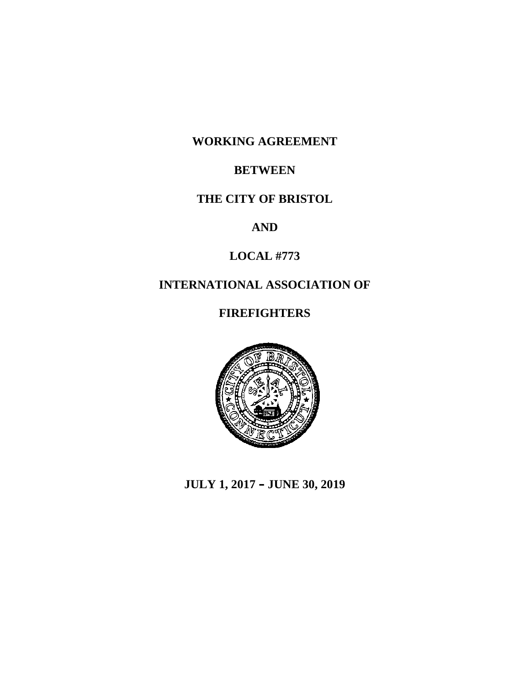**WORKING AGREEMENT**

# **BETWEEN**

# **THE CITY OF BRISTOL**

**AND**

# **LOCAL #773**

# **INTERNATIONAL ASSOCIATION OF**

# **FIREFIGHTERS**



**JULY 1, 2017 – JUNE 30, 2019**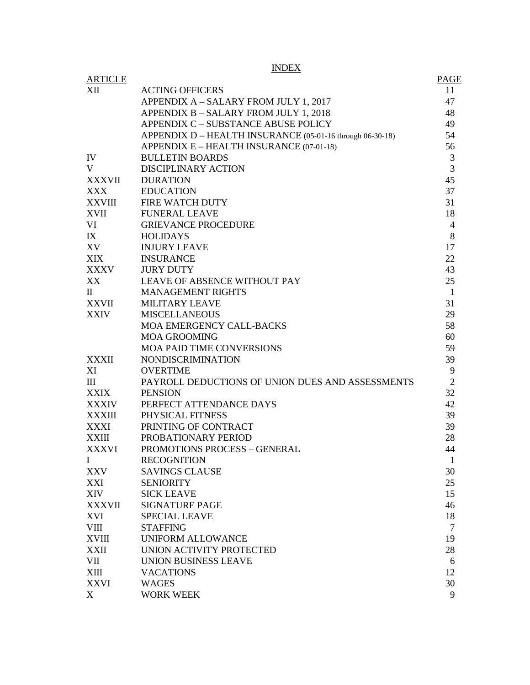INDEX

| <b>ARTICLE</b>                                            | <b>PAGE</b>    |
|-----------------------------------------------------------|----------------|
| XII<br><b>ACTING OFFICERS</b>                             | 11             |
| APPENDIX A - SALARY FROM JULY 1, 2017                     | 47             |
| APPENDIX B - SALARY FROM JULY 1, 2018                     | 48             |
| APPENDIX C - SUBSTANCE ABUSE POLICY                       | 49             |
| APPENDIX D - HEALTH INSURANCE (05-01-16 through 06-30-18) | 54             |
| APPENDIX E – HEALTH INSURANCE (07-01-18)                  | 56             |
| IV<br><b>BULLETIN BOARDS</b>                              | $\mathfrak{Z}$ |
| $V_{\parallel}$<br><b>DISCIPLINARY ACTION</b>             | 3              |
| XXXVII<br><b>DURATION</b>                                 | 45             |
| XXX<br><b>EDUCATION</b>                                   | 37             |
| XXVIII<br>FIRE WATCH DUTY                                 | 31             |
| <b>XVII</b><br><b>FUNERAL LEAVE</b>                       | 18             |
| VI<br><b>GRIEVANCE PROCEDURE</b>                          | $\overline{4}$ |
| IX<br><b>HOLIDAYS</b>                                     | 8              |
| XV<br><b>INJURY LEAVE</b>                                 | 17             |
| <b>XIX</b><br><b>INSURANCE</b>                            | 22             |
| XXXV<br><b>JURY DUTY</b>                                  | 43             |
| XX<br>LEAVE OF ABSENCE WITHOUT PAY                        | 25             |
| $\mathbf{I}$<br><b>MANAGEMENT RIGHTS</b>                  | $\mathbf{1}$   |
| XXVII<br><b>MILITARY LEAVE</b>                            | 31             |
| <b>XXIV</b><br><b>MISCELLANEOUS</b>                       | 29             |
| MOA EMERGENCY CALL-BACKS                                  | 58             |
| <b>MOA GROOMING</b>                                       | 60             |
| <b>MOA PAID TIME CONVERSIONS</b>                          | 59             |
| <b>NONDISCRIMINATION</b><br>XXXII                         | 39             |
| XI<br><b>OVERTIME</b>                                     | $\overline{9}$ |
| PAYROLL DEDUCTIONS OF UNION DUES AND ASSESSMENTS<br>Ш     | $\overline{2}$ |
| <b>XXIX</b><br><b>PENSION</b>                             | 32             |
| XXXIV<br>PERFECT ATTENDANCE DAYS                          | 42             |
| <b>XXXIII</b><br>PHYSICAL FITNESS                         | 39             |
| XXXI<br>PRINTING OF CONTRACT                              | 39             |
| XXIII<br>PROBATIONARY PERIOD                              | 28             |
| XXXVI<br>PROMOTIONS PROCESS - GENERAL                     | 44             |
| <b>RECOGNITION</b><br>$\bf{I}$                            | $\mathbf{1}$   |
| <b>XXV</b><br><b>SAVINGS CLAUSE</b>                       | 30             |
| XXI<br><b>SENIORITY</b>                                   | 25             |
| <b>XIV</b><br><b>SICK LEAVE</b>                           | 15             |
| <b>XXXVII</b><br><b>SIGNATURE PAGE</b>                    | 46             |
| <b>SPECIAL LEAVE</b><br>XVI                               | 18             |
| <b>VIII</b><br><b>STAFFING</b>                            | $\overline{7}$ |
| <b>XVIII</b><br><b>UNIFORM ALLOWANCE</b>                  | 19             |
| UNION ACTIVITY PROTECTED<br><b>XXII</b>                   | 28             |
| VII<br>UNION BUSINESS LEAVE                               | 6              |
| <b>XIII</b><br><b>VACATIONS</b>                           | 12             |
| <b>XXVI</b><br><b>WAGES</b>                               | 30             |
| X<br><b>WORK WEEK</b>                                     | 9              |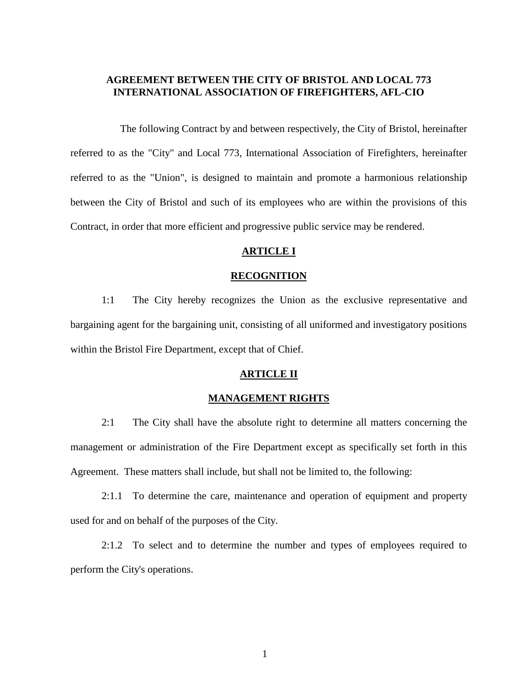# **AGREEMENT BETWEEN THE CITY OF BRISTOL AND LOCAL 773 INTERNATIONAL ASSOCIATION OF FIREFIGHTERS, AFL-CIO**

The following Contract by and between respectively, the City of Bristol, hereinafter referred to as the "City" and Local 773, International Association of Firefighters, hereinafter referred to as the "Union", is designed to maintain and promote a harmonious relationship between the City of Bristol and such of its employees who are within the provisions of this Contract, in order that more efficient and progressive public service may be rendered.

# **ARTICLE I**

## **RECOGNITION**

1:1 The City hereby recognizes the Union as the exclusive representative and bargaining agent for the bargaining unit, consisting of all uniformed and investigatory positions within the Bristol Fire Department, except that of Chief.

### **ARTICLE II**

## **MANAGEMENT RIGHTS**

2:1 The City shall have the absolute right to determine all matters concerning the management or administration of the Fire Department except as specifically set forth in this Agreement. These matters shall include, but shall not be limited to, the following:

2:1.1 To determine the care, maintenance and operation of equipment and property used for and on behalf of the purposes of the City.

2:1.2 To select and to determine the number and types of employees required to perform the City's operations.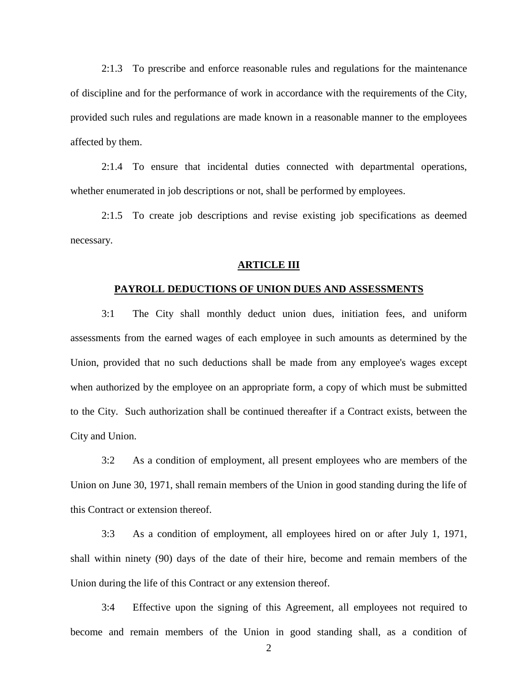2:1.3 To prescribe and enforce reasonable rules and regulations for the maintenance of discipline and for the performance of work in accordance with the requirements of the City, provided such rules and regulations are made known in a reasonable manner to the employees affected by them.

2:1.4 To ensure that incidental duties connected with departmental operations, whether enumerated in job descriptions or not, shall be performed by employees.

2:1.5 To create job descriptions and revise existing job specifications as deemed necessary.

#### **ARTICLE III**

### **PAYROLL DEDUCTIONS OF UNION DUES AND ASSESSMENTS**

3:1 The City shall monthly deduct union dues, initiation fees, and uniform assessments from the earned wages of each employee in such amounts as determined by the Union, provided that no such deductions shall be made from any employee's wages except when authorized by the employee on an appropriate form, a copy of which must be submitted to the City. Such authorization shall be continued thereafter if a Contract exists, between the City and Union.

3:2 As a condition of employment, all present employees who are members of the Union on June 30, 1971, shall remain members of the Union in good standing during the life of this Contract or extension thereof.

3:3 As a condition of employment, all employees hired on or after July 1, 1971, shall within ninety (90) days of the date of their hire, become and remain members of the Union during the life of this Contract or any extension thereof.

3:4 Effective upon the signing of this Agreement, all employees not required to become and remain members of the Union in good standing shall, as a condition of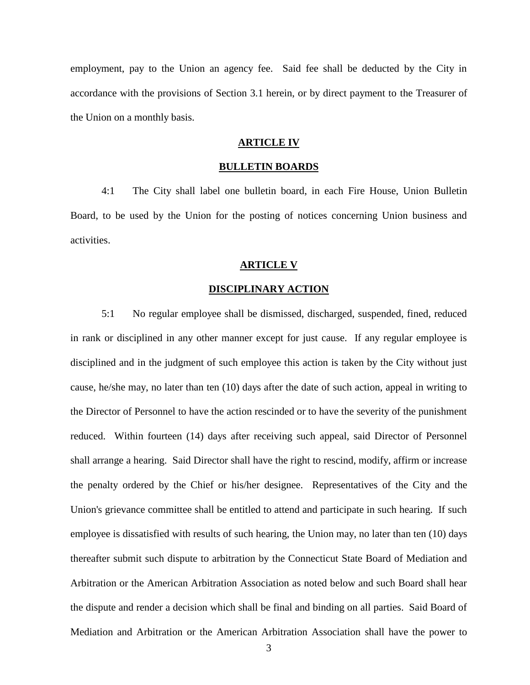employment, pay to the Union an agency fee. Said fee shall be deducted by the City in accordance with the provisions of Section 3.1 herein, or by direct payment to the Treasurer of the Union on a monthly basis.

# **ARTICLE IV**

### **BULLETIN BOARDS**

4:1 The City shall label one bulletin board, in each Fire House, Union Bulletin Board, to be used by the Union for the posting of notices concerning Union business and activities.

#### **ARTICLE V**

#### **DISCIPLINARY ACTION**

5:1 No regular employee shall be dismissed, discharged, suspended, fined, reduced in rank or disciplined in any other manner except for just cause. If any regular employee is disciplined and in the judgment of such employee this action is taken by the City without just cause, he/she may, no later than ten (10) days after the date of such action, appeal in writing to the Director of Personnel to have the action rescinded or to have the severity of the punishment reduced. Within fourteen (14) days after receiving such appeal, said Director of Personnel shall arrange a hearing. Said Director shall have the right to rescind, modify, affirm or increase the penalty ordered by the Chief or his/her designee. Representatives of the City and the Union's grievance committee shall be entitled to attend and participate in such hearing. If such employee is dissatisfied with results of such hearing, the Union may, no later than ten (10) days thereafter submit such dispute to arbitration by the Connecticut State Board of Mediation and Arbitration or the American Arbitration Association as noted below and such Board shall hear the dispute and render a decision which shall be final and binding on all parties. Said Board of Mediation and Arbitration or the American Arbitration Association shall have the power to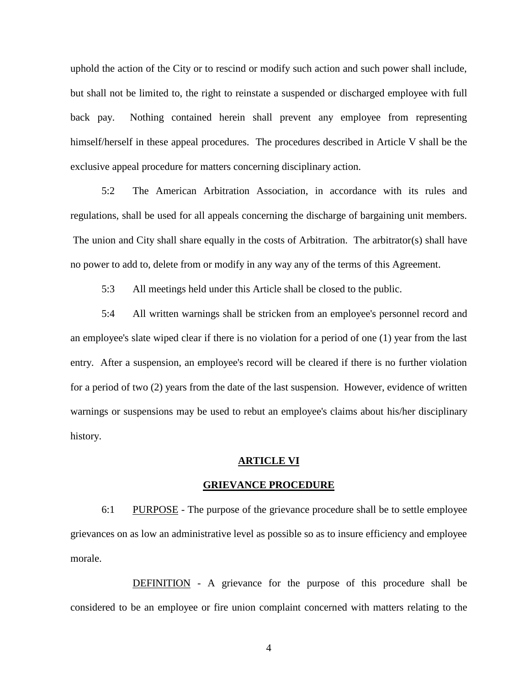uphold the action of the City or to rescind or modify such action and such power shall include, but shall not be limited to, the right to reinstate a suspended or discharged employee with full back pay. Nothing contained herein shall prevent any employee from representing himself/herself in these appeal procedures. The procedures described in Article V shall be the exclusive appeal procedure for matters concerning disciplinary action.

5:2 The American Arbitration Association, in accordance with its rules and regulations, shall be used for all appeals concerning the discharge of bargaining unit members. The union and City shall share equally in the costs of Arbitration. The arbitrator(s) shall have no power to add to, delete from or modify in any way any of the terms of this Agreement.

5:3 All meetings held under this Article shall be closed to the public.

5:4 All written warnings shall be stricken from an employee's personnel record and an employee's slate wiped clear if there is no violation for a period of one (1) year from the last entry. After a suspension, an employee's record will be cleared if there is no further violation for a period of two (2) years from the date of the last suspension. However, evidence of written warnings or suspensions may be used to rebut an employee's claims about his/her disciplinary history.

## **ARTICLE VI**

### **GRIEVANCE PROCEDURE**

6:1 PURPOSE - The purpose of the grievance procedure shall be to settle employee grievances on as low an administrative level as possible so as to insure efficiency and employee morale.

DEFINITION - A grievance for the purpose of this procedure shall be considered to be an employee or fire union complaint concerned with matters relating to the

4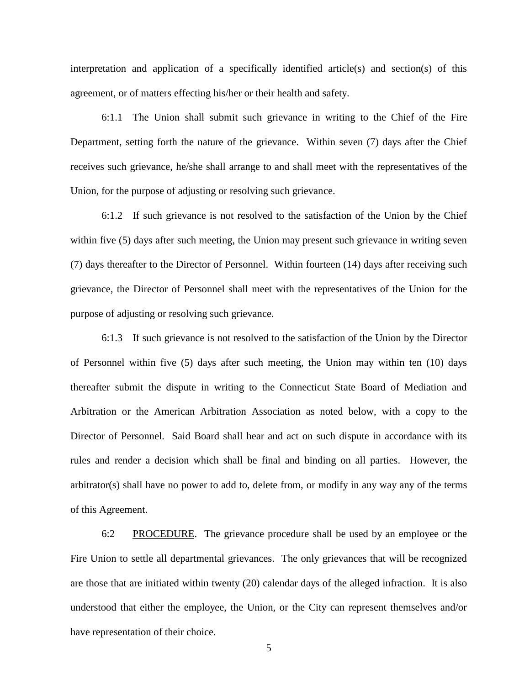interpretation and application of a specifically identified article(s) and section(s) of this agreement, or of matters effecting his/her or their health and safety.

6:1.1 The Union shall submit such grievance in writing to the Chief of the Fire Department, setting forth the nature of the grievance. Within seven (7) days after the Chief receives such grievance, he/she shall arrange to and shall meet with the representatives of the Union, for the purpose of adjusting or resolving such grievance.

6:1.2 If such grievance is not resolved to the satisfaction of the Union by the Chief within five (5) days after such meeting, the Union may present such grievance in writing seven (7) days thereafter to the Director of Personnel. Within fourteen (14) days after receiving such grievance, the Director of Personnel shall meet with the representatives of the Union for the purpose of adjusting or resolving such grievance.

6:1.3 If such grievance is not resolved to the satisfaction of the Union by the Director of Personnel within five (5) days after such meeting, the Union may within ten (10) days thereafter submit the dispute in writing to the Connecticut State Board of Mediation and Arbitration or the American Arbitration Association as noted below, with a copy to the Director of Personnel. Said Board shall hear and act on such dispute in accordance with its rules and render a decision which shall be final and binding on all parties. However, the arbitrator(s) shall have no power to add to, delete from, or modify in any way any of the terms of this Agreement.

6:2 PROCEDURE. The grievance procedure shall be used by an employee or the Fire Union to settle all departmental grievances. The only grievances that will be recognized are those that are initiated within twenty (20) calendar days of the alleged infraction. It is also understood that either the employee, the Union, or the City can represent themselves and/or have representation of their choice.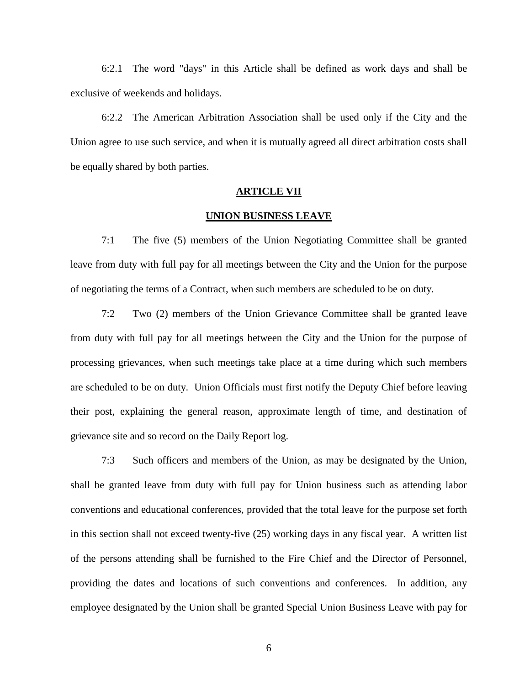6:2.1 The word "days" in this Article shall be defined as work days and shall be exclusive of weekends and holidays.

6:2.2 The American Arbitration Association shall be used only if the City and the Union agree to use such service, and when it is mutually agreed all direct arbitration costs shall be equally shared by both parties.

# **ARTICLE VII**

## **UNION BUSINESS LEAVE**

7:1 The five (5) members of the Union Negotiating Committee shall be granted leave from duty with full pay for all meetings between the City and the Union for the purpose of negotiating the terms of a Contract, when such members are scheduled to be on duty.

7:2 Two (2) members of the Union Grievance Committee shall be granted leave from duty with full pay for all meetings between the City and the Union for the purpose of processing grievances, when such meetings take place at a time during which such members are scheduled to be on duty. Union Officials must first notify the Deputy Chief before leaving their post, explaining the general reason, approximate length of time, and destination of grievance site and so record on the Daily Report log.

7:3 Such officers and members of the Union, as may be designated by the Union, shall be granted leave from duty with full pay for Union business such as attending labor conventions and educational conferences, provided that the total leave for the purpose set forth in this section shall not exceed twenty-five (25) working days in any fiscal year. A written list of the persons attending shall be furnished to the Fire Chief and the Director of Personnel, providing the dates and locations of such conventions and conferences. In addition, any employee designated by the Union shall be granted Special Union Business Leave with pay for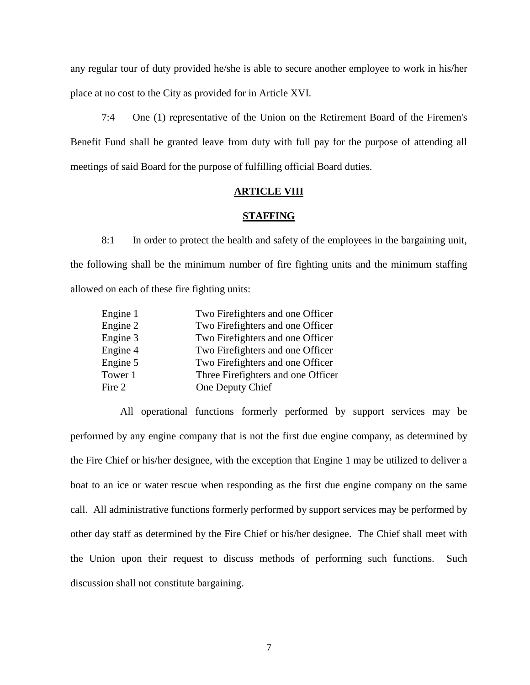any regular tour of duty provided he/she is able to secure another employee to work in his/her place at no cost to the City as provided for in Article XVI.

7:4 One (1) representative of the Union on the Retirement Board of the Firemen's Benefit Fund shall be granted leave from duty with full pay for the purpose of attending all meetings of said Board for the purpose of fulfilling official Board duties.

# **ARTICLE VIII**

# **STAFFING**

8:1 In order to protect the health and safety of the employees in the bargaining unit, the following shall be the minimum number of fire fighting units and the minimum staffing allowed on each of these fire fighting units:

| Engine 1 | Two Firefighters and one Officer   |
|----------|------------------------------------|
| Engine 2 | Two Firefighters and one Officer   |
| Engine 3 | Two Firefighters and one Officer   |
| Engine 4 | Two Firefighters and one Officer   |
| Engine 5 | Two Firefighters and one Officer   |
| Tower 1  | Three Firefighters and one Officer |
| Fire 2   | One Deputy Chief                   |

All operational functions formerly performed by support services may be performed by any engine company that is not the first due engine company, as determined by the Fire Chief or his/her designee, with the exception that Engine 1 may be utilized to deliver a boat to an ice or water rescue when responding as the first due engine company on the same call. All administrative functions formerly performed by support services may be performed by other day staff as determined by the Fire Chief or his/her designee. The Chief shall meet with the Union upon their request to discuss methods of performing such functions. Such discussion shall not constitute bargaining.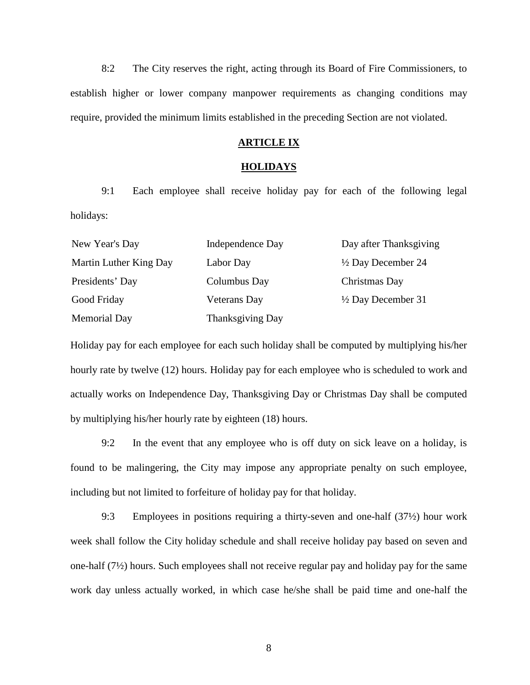8:2 The City reserves the right, acting through its Board of Fire Commissioners, to establish higher or lower company manpower requirements as changing conditions may require, provided the minimum limits established in the preceding Section are not violated.

# **ARTICLE IX**

# **HOLIDAYS**

9:1 Each employee shall receive holiday pay for each of the following legal holidays:

| New Year's Day         | Independence Day        | Day after Thanksgiving        |
|------------------------|-------------------------|-------------------------------|
| Martin Luther King Day | Labor Day               | $\frac{1}{2}$ Day December 24 |
| Presidents' Day        | Columbus Day            | Christmas Day                 |
| Good Friday            | <b>Veterans Day</b>     | $\frac{1}{2}$ Day December 31 |
| <b>Memorial Day</b>    | <b>Thanksgiving Day</b> |                               |

Holiday pay for each employee for each such holiday shall be computed by multiplying his/her hourly rate by twelve (12) hours. Holiday pay for each employee who is scheduled to work and actually works on Independence Day, Thanksgiving Day or Christmas Day shall be computed by multiplying his/her hourly rate by eighteen (18) hours.

9:2 In the event that any employee who is off duty on sick leave on a holiday, is found to be malingering, the City may impose any appropriate penalty on such employee, including but not limited to forfeiture of holiday pay for that holiday.

9:3 Employees in positions requiring a thirty-seven and one-half (37½) hour work week shall follow the City holiday schedule and shall receive holiday pay based on seven and one-half (7½) hours. Such employees shall not receive regular pay and holiday pay for the same work day unless actually worked, in which case he/she shall be paid time and one-half the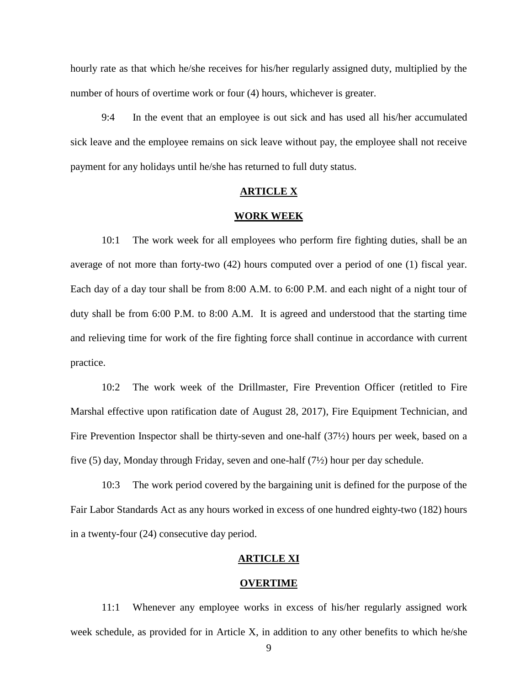hourly rate as that which he/she receives for his/her regularly assigned duty, multiplied by the number of hours of overtime work or four (4) hours, whichever is greater.

9:4 In the event that an employee is out sick and has used all his/her accumulated sick leave and the employee remains on sick leave without pay, the employee shall not receive payment for any holidays until he/she has returned to full duty status.

#### **ARTICLE X**

## **WORK WEEK**

10:1 The work week for all employees who perform fire fighting duties, shall be an average of not more than forty-two (42) hours computed over a period of one (1) fiscal year. Each day of a day tour shall be from 8:00 A.M. to 6:00 P.M. and each night of a night tour of duty shall be from 6:00 P.M. to 8:00 A.M. It is agreed and understood that the starting time and relieving time for work of the fire fighting force shall continue in accordance with current practice.

10:2 The work week of the Drillmaster, Fire Prevention Officer (retitled to Fire Marshal effective upon ratification date of August 28, 2017), Fire Equipment Technician, and Fire Prevention Inspector shall be thirty-seven and one-half (37½) hours per week, based on a five (5) day, Monday through Friday, seven and one-half (7½) hour per day schedule.

10:3 The work period covered by the bargaining unit is defined for the purpose of the Fair Labor Standards Act as any hours worked in excess of one hundred eighty-two (182) hours in a twenty-four (24) consecutive day period.

## **ARTICLE XI**

#### **OVERTIME**

11:1 Whenever any employee works in excess of his/her regularly assigned work week schedule, as provided for in Article X, in addition to any other benefits to which he/she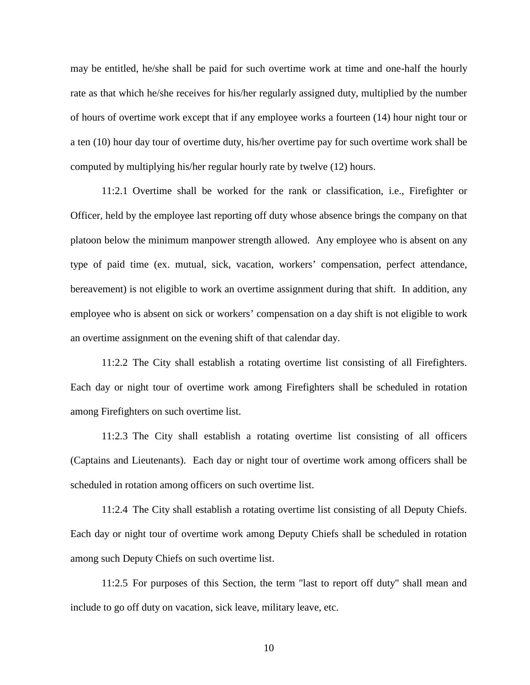may be entitled, he/she shall be paid for such overtime work at time and one-half the hourly rate as that which he/she receives for his/her regularly assigned duty, multiplied by the number of hours of overtime work except that if any employee works a fourteen (14) hour night tour or a ten (10) hour day tour of overtime duty, his/her overtime pay for such overtime work shall be computed by multiplying his/her regular hourly rate by twelve (12) hours.

11:2.1 Overtime shall be worked for the rank or classification, i.e., Firefighter or Officer, held by the employee last reporting off duty whose absence brings the company on that platoon below the minimum manpower strength allowed. Any employee who is absent on any type of paid time (ex. mutual, sick, vacation, workers' compensation, perfect attendance, bereavement) is not eligible to work an overtime assignment during that shift. In addition, any employee who is absent on sick or workers' compensation on a day shift is not eligible to work an overtime assignment on the evening shift of that calendar day.

11:2.2 The City shall establish a rotating overtime list consisting of all Firefighters. Each day or night tour of overtime work among Firefighters shall be scheduled in rotation among Firefighters on such overtime list.

11:2.3 The City shall establish a rotating overtime list consisting of all officers (Captains and Lieutenants). Each day or night tour of overtime work among officers shall be scheduled in rotation among officers on such overtime list.

11:2.4 The City shall establish a rotating overtime list consisting of all Deputy Chiefs. Each day or night tour of overtime work among Deputy Chiefs shall be scheduled in rotation among such Deputy Chiefs on such overtime list.

11:2.5 For purposes of this Section, the term "last to report off duty" shall mean and include to go off duty on vacation, sick leave, military leave, etc.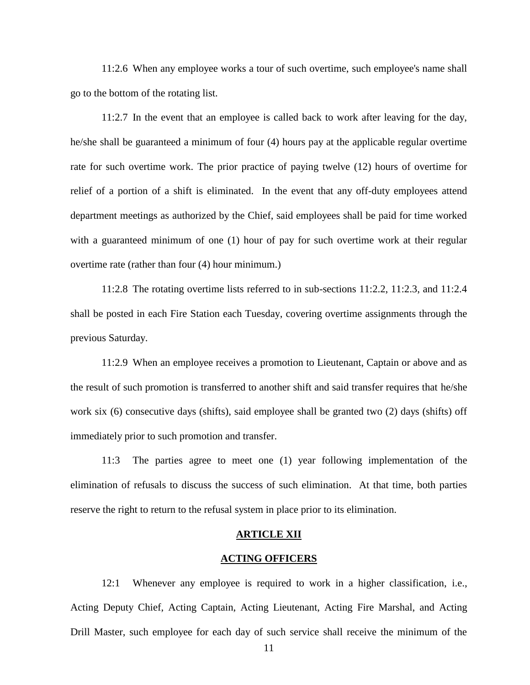11:2.6 When any employee works a tour of such overtime, such employee's name shall go to the bottom of the rotating list.

11:2.7 In the event that an employee is called back to work after leaving for the day, he/she shall be guaranteed a minimum of four (4) hours pay at the applicable regular overtime rate for such overtime work. The prior practice of paying twelve (12) hours of overtime for relief of a portion of a shift is eliminated. In the event that any off-duty employees attend department meetings as authorized by the Chief, said employees shall be paid for time worked with a guaranteed minimum of one (1) hour of pay for such overtime work at their regular overtime rate (rather than four (4) hour minimum.)

11:2.8 The rotating overtime lists referred to in sub-sections 11:2.2, 11:2.3, and 11:2.4 shall be posted in each Fire Station each Tuesday, covering overtime assignments through the previous Saturday.

11:2.9 When an employee receives a promotion to Lieutenant, Captain or above and as the result of such promotion is transferred to another shift and said transfer requires that he/she work six (6) consecutive days (shifts), said employee shall be granted two (2) days (shifts) off immediately prior to such promotion and transfer.

11:3 The parties agree to meet one (1) year following implementation of the elimination of refusals to discuss the success of such elimination. At that time, both parties reserve the right to return to the refusal system in place prior to its elimination.

#### **ARTICLE XII**

#### **ACTING OFFICERS**

12:1 Whenever any employee is required to work in a higher classification, i.e., Acting Deputy Chief, Acting Captain, Acting Lieutenant, Acting Fire Marshal, and Acting Drill Master, such employee for each day of such service shall receive the minimum of the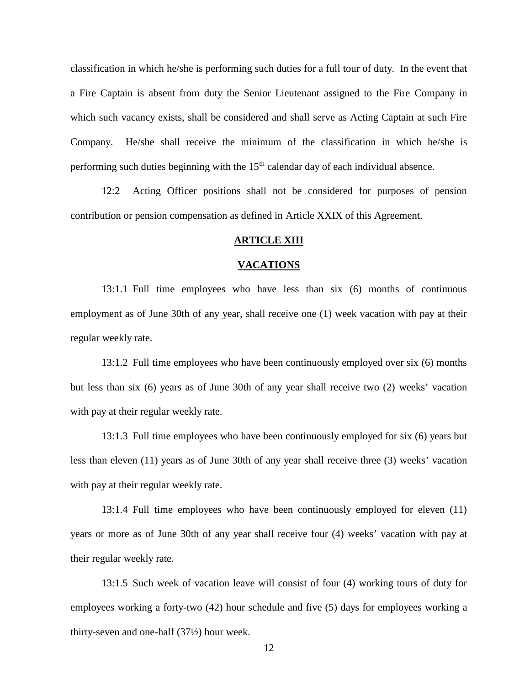classification in which he/she is performing such duties for a full tour of duty. In the event that a Fire Captain is absent from duty the Senior Lieutenant assigned to the Fire Company in which such vacancy exists, shall be considered and shall serve as Acting Captain at such Fire Company. He/she shall receive the minimum of the classification in which he/she is performing such duties beginning with the  $15<sup>th</sup>$  calendar day of each individual absence.

12:2 Acting Officer positions shall not be considered for purposes of pension contribution or pension compensation as defined in Article XXIX of this Agreement.

#### **ARTICLE XIII**

#### **VACATIONS**

13:1.1 Full time employees who have less than six (6) months of continuous employment as of June 30th of any year, shall receive one (1) week vacation with pay at their regular weekly rate.

13:1.2 Full time employees who have been continuously employed over six (6) months but less than six (6) years as of June 30th of any year shall receive two (2) weeks' vacation with pay at their regular weekly rate.

13:1.3 Full time employees who have been continuously employed for six (6) years but less than eleven (11) years as of June 30th of any year shall receive three (3) weeks' vacation with pay at their regular weekly rate.

13:1.4 Full time employees who have been continuously employed for eleven (11) years or more as of June 30th of any year shall receive four (4) weeks' vacation with pay at their regular weekly rate.

13:1.5 Such week of vacation leave will consist of four (4) working tours of duty for employees working a forty-two (42) hour schedule and five (5) days for employees working a thirty-seven and one-half (37½) hour week.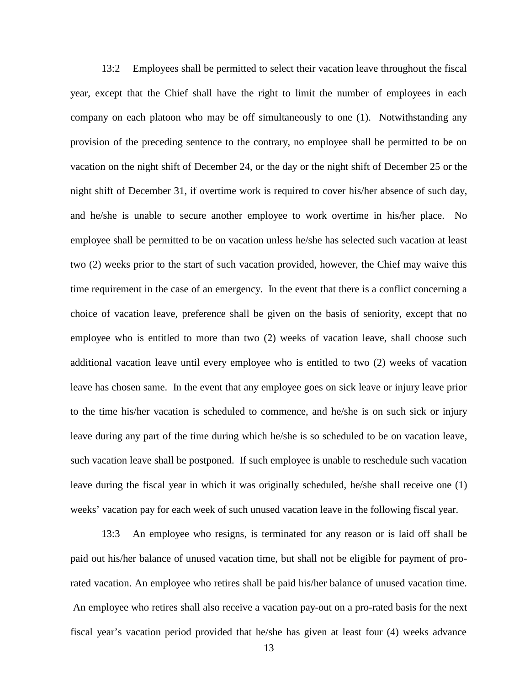13:2 Employees shall be permitted to select their vacation leave throughout the fiscal year, except that the Chief shall have the right to limit the number of employees in each company on each platoon who may be off simultaneously to one (1). Notwithstanding any provision of the preceding sentence to the contrary, no employee shall be permitted to be on vacation on the night shift of December 24, or the day or the night shift of December 25 or the night shift of December 31, if overtime work is required to cover his/her absence of such day, and he/she is unable to secure another employee to work overtime in his/her place. No employee shall be permitted to be on vacation unless he/she has selected such vacation at least two (2) weeks prior to the start of such vacation provided, however, the Chief may waive this time requirement in the case of an emergency. In the event that there is a conflict concerning a choice of vacation leave, preference shall be given on the basis of seniority, except that no employee who is entitled to more than two (2) weeks of vacation leave, shall choose such additional vacation leave until every employee who is entitled to two (2) weeks of vacation leave has chosen same. In the event that any employee goes on sick leave or injury leave prior to the time his/her vacation is scheduled to commence, and he/she is on such sick or injury leave during any part of the time during which he/she is so scheduled to be on vacation leave, such vacation leave shall be postponed. If such employee is unable to reschedule such vacation leave during the fiscal year in which it was originally scheduled, he/she shall receive one (1) weeks' vacation pay for each week of such unused vacation leave in the following fiscal year.

13:3 An employee who resigns, is terminated for any reason or is laid off shall be paid out his/her balance of unused vacation time, but shall not be eligible for payment of prorated vacation. An employee who retires shall be paid his/her balance of unused vacation time. An employee who retires shall also receive a vacation pay-out on a pro-rated basis for the next fiscal year's vacation period provided that he/she has given at least four (4) weeks advance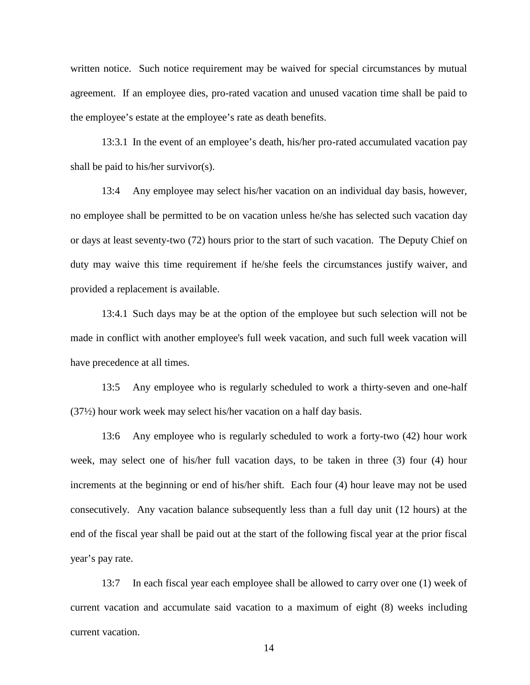written notice. Such notice requirement may be waived for special circumstances by mutual agreement. If an employee dies, pro-rated vacation and unused vacation time shall be paid to the employee's estate at the employee's rate as death benefits.

13:3.1 In the event of an employee's death, his/her pro-rated accumulated vacation pay shall be paid to his/her survivor(s).

13:4 Any employee may select his/her vacation on an individual day basis, however, no employee shall be permitted to be on vacation unless he/she has selected such vacation day or days at least seventy-two (72) hours prior to the start of such vacation. The Deputy Chief on duty may waive this time requirement if he/she feels the circumstances justify waiver, and provided a replacement is available.

13:4.1 Such days may be at the option of the employee but such selection will not be made in conflict with another employee's full week vacation, and such full week vacation will have precedence at all times.

13:5 Any employee who is regularly scheduled to work a thirty-seven and one-half (37½) hour work week may select his/her vacation on a half day basis.

13:6 Any employee who is regularly scheduled to work a forty-two (42) hour work week, may select one of his/her full vacation days, to be taken in three (3) four (4) hour increments at the beginning or end of his/her shift. Each four (4) hour leave may not be used consecutively. Any vacation balance subsequently less than a full day unit (12 hours) at the end of the fiscal year shall be paid out at the start of the following fiscal year at the prior fiscal year's pay rate.

13:7 In each fiscal year each employee shall be allowed to carry over one (1) week of current vacation and accumulate said vacation to a maximum of eight (8) weeks including current vacation.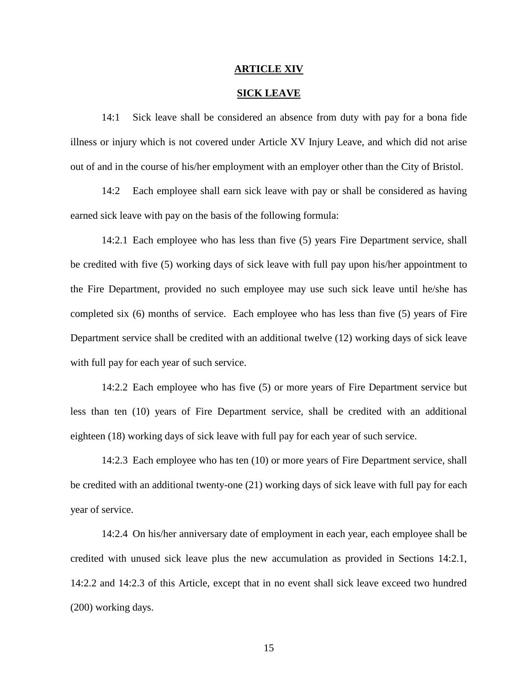#### **ARTICLE XIV**

### **SICK LEAVE**

14:1 Sick leave shall be considered an absence from duty with pay for a bona fide illness or injury which is not covered under Article XV Injury Leave, and which did not arise out of and in the course of his/her employment with an employer other than the City of Bristol.

14:2 Each employee shall earn sick leave with pay or shall be considered as having earned sick leave with pay on the basis of the following formula:

14:2.1 Each employee who has less than five (5) years Fire Department service, shall be credited with five (5) working days of sick leave with full pay upon his/her appointment to the Fire Department, provided no such employee may use such sick leave until he/she has completed six (6) months of service. Each employee who has less than five (5) years of Fire Department service shall be credited with an additional twelve (12) working days of sick leave with full pay for each year of such service.

14:2.2 Each employee who has five (5) or more years of Fire Department service but less than ten (10) years of Fire Department service, shall be credited with an additional eighteen (18) working days of sick leave with full pay for each year of such service.

14:2.3 Each employee who has ten (10) or more years of Fire Department service, shall be credited with an additional twenty-one (21) working days of sick leave with full pay for each year of service.

14:2.4 On his/her anniversary date of employment in each year, each employee shall be credited with unused sick leave plus the new accumulation as provided in Sections 14:2.1, 14:2.2 and 14:2.3 of this Article, except that in no event shall sick leave exceed two hundred (200) working days.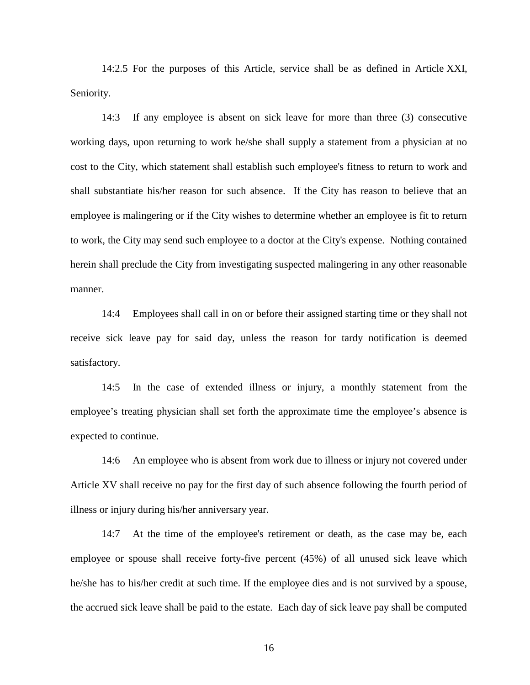14:2.5 For the purposes of this Article, service shall be as defined in Article XXI, Seniority.

14:3 If any employee is absent on sick leave for more than three (3) consecutive working days, upon returning to work he/she shall supply a statement from a physician at no cost to the City, which statement shall establish such employee's fitness to return to work and shall substantiate his/her reason for such absence. If the City has reason to believe that an employee is malingering or if the City wishes to determine whether an employee is fit to return to work, the City may send such employee to a doctor at the City's expense. Nothing contained herein shall preclude the City from investigating suspected malingering in any other reasonable manner.

14:4 Employees shall call in on or before their assigned starting time or they shall not receive sick leave pay for said day, unless the reason for tardy notification is deemed satisfactory.

14:5 In the case of extended illness or injury, a monthly statement from the employee's treating physician shall set forth the approximate time the employee's absence is expected to continue.

14:6 An employee who is absent from work due to illness or injury not covered under Article XV shall receive no pay for the first day of such absence following the fourth period of illness or injury during his/her anniversary year.

14:7 At the time of the employee's retirement or death, as the case may be, each employee or spouse shall receive forty-five percent (45%) of all unused sick leave which he/she has to his/her credit at such time. If the employee dies and is not survived by a spouse, the accrued sick leave shall be paid to the estate. Each day of sick leave pay shall be computed

16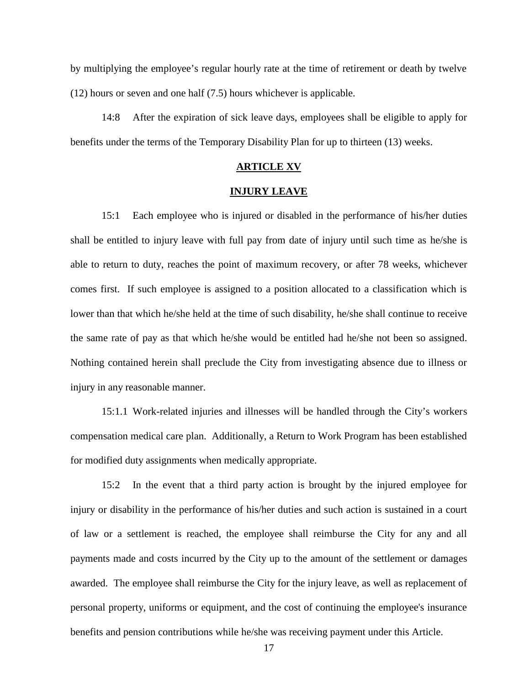by multiplying the employee's regular hourly rate at the time of retirement or death by twelve (12) hours or seven and one half (7.5) hours whichever is applicable.

14:8 After the expiration of sick leave days, employees shall be eligible to apply for benefits under the terms of the Temporary Disability Plan for up to thirteen (13) weeks.

## **ARTICLE XV**

# **INJURY LEAVE**

15:1 Each employee who is injured or disabled in the performance of his/her duties shall be entitled to injury leave with full pay from date of injury until such time as he/she is able to return to duty, reaches the point of maximum recovery, or after 78 weeks, whichever comes first. If such employee is assigned to a position allocated to a classification which is lower than that which he/she held at the time of such disability, he/she shall continue to receive the same rate of pay as that which he/she would be entitled had he/she not been so assigned. Nothing contained herein shall preclude the City from investigating absence due to illness or injury in any reasonable manner.

15:1.1 Work-related injuries and illnesses will be handled through the City's workers compensation medical care plan. Additionally, a Return to Work Program has been established for modified duty assignments when medically appropriate.

15:2 In the event that a third party action is brought by the injured employee for injury or disability in the performance of his/her duties and such action is sustained in a court of law or a settlement is reached, the employee shall reimburse the City for any and all payments made and costs incurred by the City up to the amount of the settlement or damages awarded. The employee shall reimburse the City for the injury leave, as well as replacement of personal property, uniforms or equipment, and the cost of continuing the employee's insurance benefits and pension contributions while he/she was receiving payment under this Article.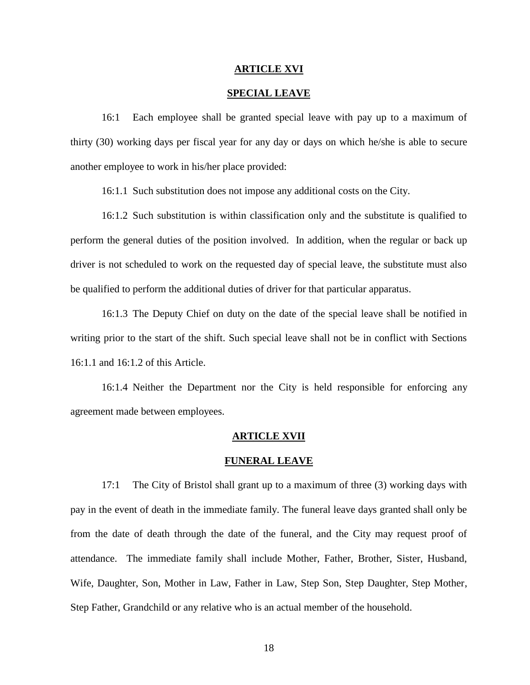#### **ARTICLE XVI**

#### **SPECIAL LEAVE**

16:1 Each employee shall be granted special leave with pay up to a maximum of thirty (30) working days per fiscal year for any day or days on which he/she is able to secure another employee to work in his/her place provided:

16:1.1 Such substitution does not impose any additional costs on the City.

16:1.2 Such substitution is within classification only and the substitute is qualified to perform the general duties of the position involved. In addition, when the regular or back up driver is not scheduled to work on the requested day of special leave, the substitute must also be qualified to perform the additional duties of driver for that particular apparatus.

16:1.3 The Deputy Chief on duty on the date of the special leave shall be notified in writing prior to the start of the shift. Such special leave shall not be in conflict with Sections 16:1.1 and 16:1.2 of this Article.

16:1.4 Neither the Department nor the City is held responsible for enforcing any agreement made between employees.

#### **ARTICLE XVII**

#### **FUNERAL LEAVE**

17:1 The City of Bristol shall grant up to a maximum of three (3) working days with pay in the event of death in the immediate family. The funeral leave days granted shall only be from the date of death through the date of the funeral, and the City may request proof of attendance. The immediate family shall include Mother, Father, Brother, Sister, Husband, Wife, Daughter, Son, Mother in Law, Father in Law, Step Son, Step Daughter, Step Mother, Step Father, Grandchild or any relative who is an actual member of the household.

18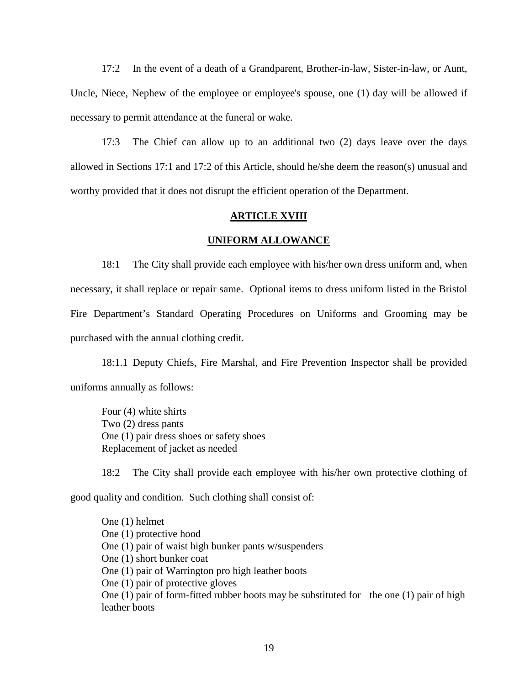17:2 In the event of a death of a Grandparent, Brother-in-law, Sister-in-law, or Aunt, Uncle, Niece, Nephew of the employee or employee's spouse, one (1) day will be allowed if necessary to permit attendance at the funeral or wake.

17:3 The Chief can allow up to an additional two (2) days leave over the days allowed in Sections 17:1 and 17:2 of this Article, should he/she deem the reason(s) unusual and worthy provided that it does not disrupt the efficient operation of the Department.

# **ARTICLE XVIII**

#### **UNIFORM ALLOWANCE**

18:1 The City shall provide each employee with his/her own dress uniform and, when necessary, it shall replace or repair same. Optional items to dress uniform listed in the Bristol Fire Department's Standard Operating Procedures on Uniforms and Grooming may be purchased with the annual clothing credit.

18:1.1 Deputy Chiefs, Fire Marshal, and Fire Prevention Inspector shall be provided uniforms annually as follows:

Four (4) white shirts Two (2) dress pants One (1) pair dress shoes or safety shoes Replacement of jacket as needed

18:2 The City shall provide each employee with his/her own protective clothing of good quality and condition. Such clothing shall consist of:

One (1) helmet One (1) protective hood One (1) pair of waist high bunker pants w/suspenders One (1) short bunker coat One (1) pair of Warrington pro high leather boots One (1) pair of protective gloves One (1) pair of form-fitted rubber boots may be substituted for the one (1) pair of high leather boots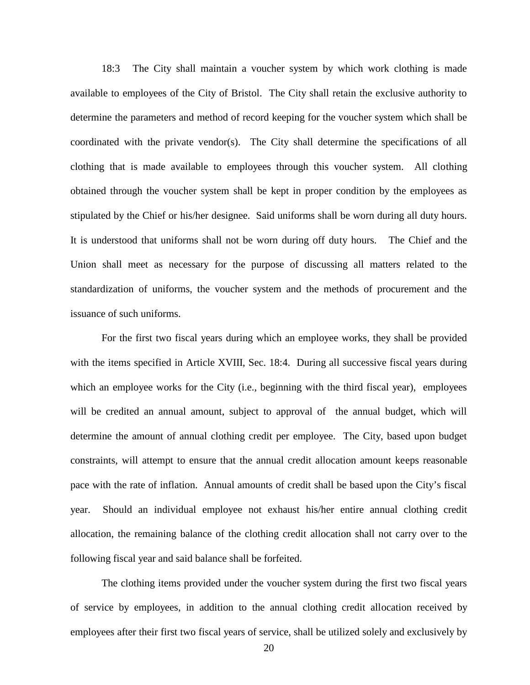18:3 The City shall maintain a voucher system by which work clothing is made available to employees of the City of Bristol. The City shall retain the exclusive authority to determine the parameters and method of record keeping for the voucher system which shall be coordinated with the private vendor(s). The City shall determine the specifications of all clothing that is made available to employees through this voucher system. All clothing obtained through the voucher system shall be kept in proper condition by the employees as stipulated by the Chief or his/her designee. Said uniforms shall be worn during all duty hours. It is understood that uniforms shall not be worn during off duty hours. The Chief and the Union shall meet as necessary for the purpose of discussing all matters related to the standardization of uniforms, the voucher system and the methods of procurement and the issuance of such uniforms.

For the first two fiscal years during which an employee works, they shall be provided with the items specified in Article XVIII, Sec. 18:4. During all successive fiscal years during which an employee works for the City (*i.e.*, beginning with the third fiscal year), employees will be credited an annual amount, subject to approval of the annual budget, which will determine the amount of annual clothing credit per employee. The City, based upon budget constraints, will attempt to ensure that the annual credit allocation amount keeps reasonable pace with the rate of inflation. Annual amounts of credit shall be based upon the City's fiscal year. Should an individual employee not exhaust his/her entire annual clothing credit allocation, the remaining balance of the clothing credit allocation shall not carry over to the following fiscal year and said balance shall be forfeited.

The clothing items provided under the voucher system during the first two fiscal years of service by employees, in addition to the annual clothing credit allocation received by employees after their first two fiscal years of service, shall be utilized solely and exclusively by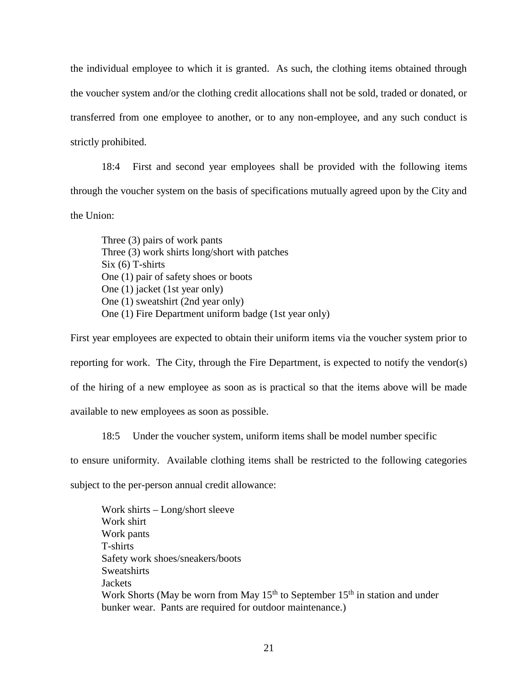the individual employee to which it is granted. As such, the clothing items obtained through the voucher system and/or the clothing credit allocations shall not be sold, traded or donated, or transferred from one employee to another, or to any non-employee, and any such conduct is strictly prohibited.

18:4 First and second year employees shall be provided with the following items through the voucher system on the basis of specifications mutually agreed upon by the City and the Union:

Three (3) pairs of work pants Three (3) work shirts long/short with patches Six (6) T-shirts One (1) pair of safety shoes or boots One (1) jacket (1st year only) One (1) sweatshirt (2nd year only) One (1) Fire Department uniform badge (1st year only)

First year employees are expected to obtain their uniform items via the voucher system prior to reporting for work. The City, through the Fire Department, is expected to notify the vendor(s) of the hiring of a new employee as soon as is practical so that the items above will be made available to new employees as soon as possible.

18:5 Under the voucher system, uniform items shall be model number specific

to ensure uniformity. Available clothing items shall be restricted to the following categories

subject to the per-person annual credit allowance:

Work shirts – Long/short sleeve Work shirt Work pants T-shirts Safety work shoes/sneakers/boots **Sweatshirts Jackets** Work Shorts (May be worn from May  $15<sup>th</sup>$  to September  $15<sup>th</sup>$  in station and under bunker wear. Pants are required for outdoor maintenance.)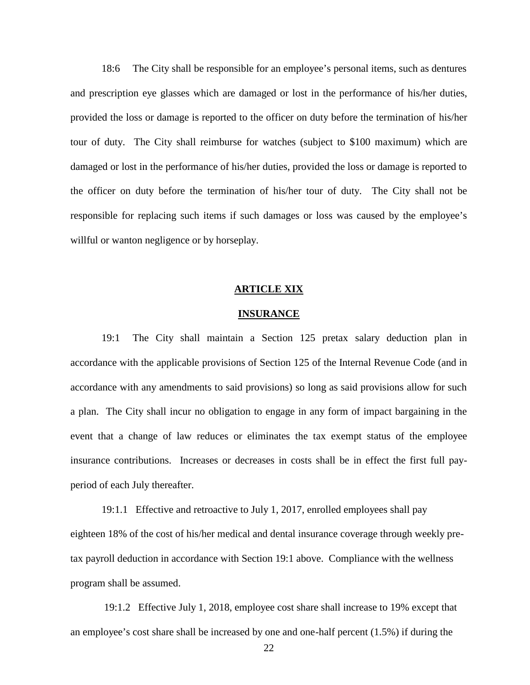18:6 The City shall be responsible for an employee's personal items, such as dentures and prescription eye glasses which are damaged or lost in the performance of his/her duties, provided the loss or damage is reported to the officer on duty before the termination of his/her tour of duty. The City shall reimburse for watches (subject to \$100 maximum) which are damaged or lost in the performance of his/her duties, provided the loss or damage is reported to the officer on duty before the termination of his/her tour of duty. The City shall not be responsible for replacing such items if such damages or loss was caused by the employee's willful or wanton negligence or by horseplay.

# **ARTICLE XIX**

# **INSURANCE**

19:1 The City shall maintain a Section 125 pretax salary deduction plan in accordance with the applicable provisions of Section 125 of the Internal Revenue Code (and in accordance with any amendments to said provisions) so long as said provisions allow for such a plan. The City shall incur no obligation to engage in any form of impact bargaining in the event that a change of law reduces or eliminates the tax exempt status of the employee insurance contributions. Increases or decreases in costs shall be in effect the first full pay period of each July thereafter.

19:1.1 Effective and retroactive to July 1, 2017, enrolled employees shall pay eighteen 18% of the cost of his/her medical and dental insurance coverage through weekly pretax payroll deduction in accordance with Section 19:1 above. Compliance with the wellness program shall be assumed.

19:1.2 Effective July 1, 2018, employee cost share shall increase to 19% except that an employee's cost share shall be increased by one and one-half percent (1.5%) if during the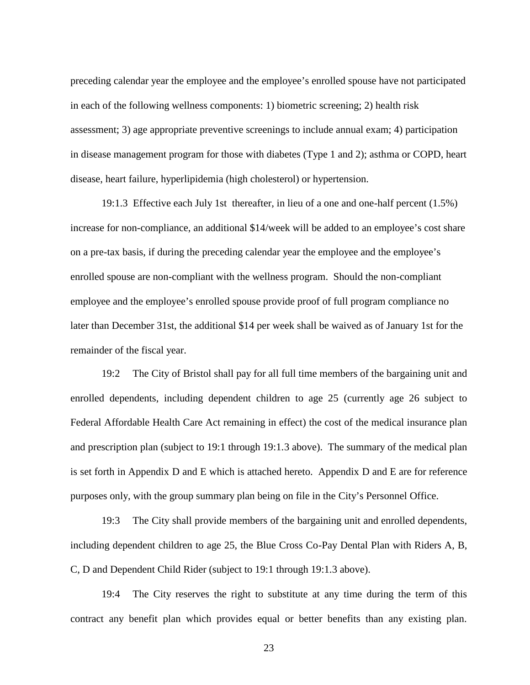preceding calendar year the employee and the employee's enrolled spouse have not participated in each of the following wellness components: 1) biometric screening; 2) health risk assessment; 3) age appropriate preventive screenings to include annual exam; 4) participation in disease management program for those with diabetes (Type 1 and 2); asthma or COPD, heart disease, heart failure, hyperlipidemia (high cholesterol) or hypertension.

19:1.3 Effective each July 1st thereafter, in lieu of a one and one-half percent (1.5%) increase for non-compliance, an additional \$14/week will be added to an employee's cost share on a pre-tax basis, if during the preceding calendar year the employee and the employee's enrolled spouse are non-compliant with the wellness program. Should the non-compliant employee and the employee's enrolled spouse provide proof of full program compliance no later than December 31st, the additional \$14 per week shall be waived as of January 1st for the remainder of the fiscal year.

19:2 The City of Bristol shall pay for all full time members of the bargaining unit and enrolled dependents, including dependent children to age 25 (currently age 26 subject to Federal Affordable Health Care Act remaining in effect) the cost of the medical insurance plan and prescription plan (subject to 19:1 through 19:1.3 above). The summary of the medical plan is set forth in Appendix D and E which is attached hereto. Appendix D and E are for reference purposes only, with the group summary plan being on file in the City's Personnel Office.

19:3 The City shall provide members of the bargaining unit and enrolled dependents, including dependent children to age 25, the Blue Cross Co-Pay Dental Plan with Riders A, B, C, D and Dependent Child Rider (subject to 19:1 through 19:1.3 above).

19:4 The City reserves the right to substitute at any time during the term of this contract any benefit plan which provides equal or better benefits than any existing plan.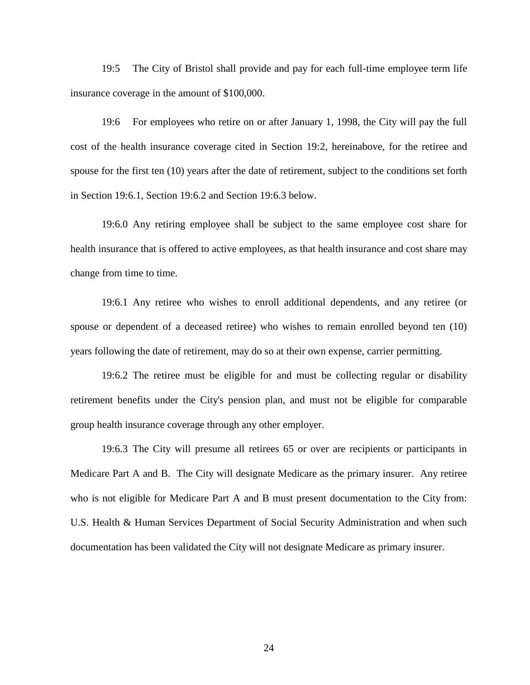19:5 The City of Bristol shall provide and pay for each full-time employee term life insurance coverage in the amount of \$100,000.

19:6 For employees who retire on or after January 1, 1998, the City will pay the full cost of the health insurance coverage cited in Section 19:2, hereinabove, for the retiree and spouse for the first ten (10) years after the date of retirement, subject to the conditions set forth in Section 19:6.1, Section 19:6.2 and Section 19:6.3 below.

19:6.0 Any retiring employee shall be subject to the same employee cost share for health insurance that is offered to active employees, as that health insurance and cost share may change from time to time.

19:6.1 Any retiree who wishes to enroll additional dependents, and any retiree (or spouse or dependent of a deceased retiree) who wishes to remain enrolled beyond ten (10) years following the date of retirement, may do so at their own expense, carrier permitting.

19:6.2 The retiree must be eligible for and must be collecting regular or disability retirement benefits under the City's pension plan, and must not be eligible for comparable group health insurance coverage through any other employer.

19:6.3 The City will presume all retirees 65 or over are recipients or participants in Medicare Part A and B. The City will designate Medicare as the primary insurer. Any retiree who is not eligible for Medicare Part A and B must present documentation to the City from: U.S. Health & Human Services Department of Social Security Administration and when such documentation has been validated the City will not designate Medicare as primary insurer.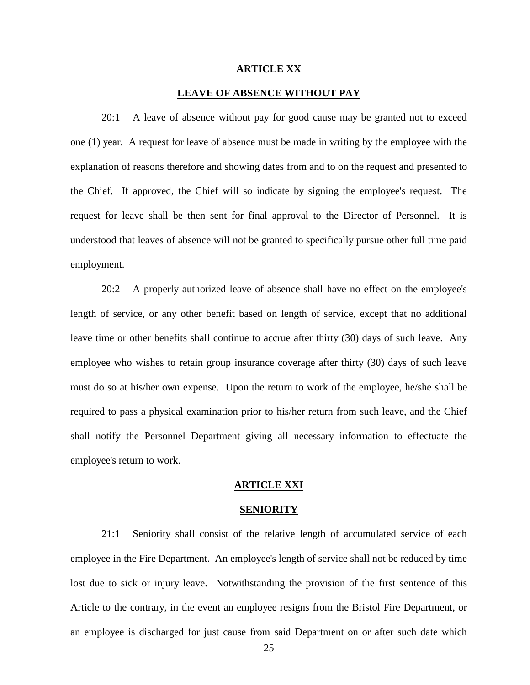#### **ARTICLE XX**

#### **LEAVE OF ABSENCE WITHOUT PAY**

20:1 A leave of absence without pay for good cause may be granted not to exceed one (1) year. A request for leave of absence must be made in writing by the employee with the explanation of reasons therefore and showing dates from and to on the request and presented to the Chief. If approved, the Chief will so indicate by signing the employee's request. The request for leave shall be then sent for final approval to the Director of Personnel. It is understood that leaves of absence will not be granted to specifically pursue other full time paid employment.

20:2 A properly authorized leave of absence shall have no effect on the employee's length of service, or any other benefit based on length of service, except that no additional leave time or other benefits shall continue to accrue after thirty (30) days of such leave. Any employee who wishes to retain group insurance coverage after thirty (30) days of such leave must do so at his/her own expense. Upon the return to work of the employee, he/she shall be required to pass a physical examination prior to his/her return from such leave, and the Chief shall notify the Personnel Department giving all necessary information to effectuate the employee's return to work.

# **ARTICLE XXI**

#### **SENIORITY**

21:1 Seniority shall consist of the relative length of accumulated service of each employee in the Fire Department. An employee's length of service shall not be reduced by time lost due to sick or injury leave. Notwithstanding the provision of the first sentence of this Article to the contrary, in the event an employee resigns from the Bristol Fire Department, or an employee is discharged for just cause from said Department on or after such date which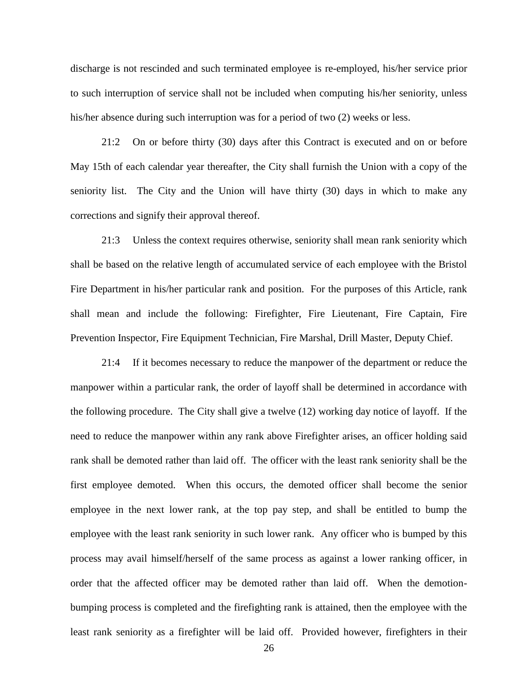discharge is not rescinded and such terminated employee is re-employed, his/her service prior to such interruption of service shall not be included when computing his/her seniority, unless his/her absence during such interruption was for a period of two (2) weeks or less.

21:2 On or before thirty (30) days after this Contract is executed and on or before May 15th of each calendar year thereafter, the City shall furnish the Union with a copy of the seniority list. The City and the Union will have thirty (30) days in which to make any corrections and signify their approval thereof.

21:3 Unless the context requires otherwise, seniority shall mean rank seniority which shall be based on the relative length of accumulated service of each employee with the Bristol Fire Department in his/her particular rank and position. For the purposes of this Article, rank shall mean and include the following: Firefighter, Fire Lieutenant, Fire Captain, Fire Prevention Inspector, Fire Equipment Technician, Fire Marshal, Drill Master, Deputy Chief.

21:4 If it becomes necessary to reduce the manpower of the department or reduce the manpower within a particular rank, the order of layoff shall be determined in accordance with the following procedure. The City shall give a twelve (12) working day notice of layoff. If the need to reduce the manpower within any rank above Firefighter arises, an officer holding said rank shall be demoted rather than laid off. The officer with the least rank seniority shall be the first employee demoted. When this occurs, the demoted officer shall become the senior employee in the next lower rank, at the top pay step, and shall be entitled to bump the employee with the least rank seniority in such lower rank. Any officer who is bumped by this process may avail himself/herself of the same process as against a lower ranking officer, in order that the affected officer may be demoted rather than laid off. When the demotion bumping process is completed and the firefighting rank is attained, then the employee with the least rank seniority as a firefighter will be laid off. Provided however, firefighters in their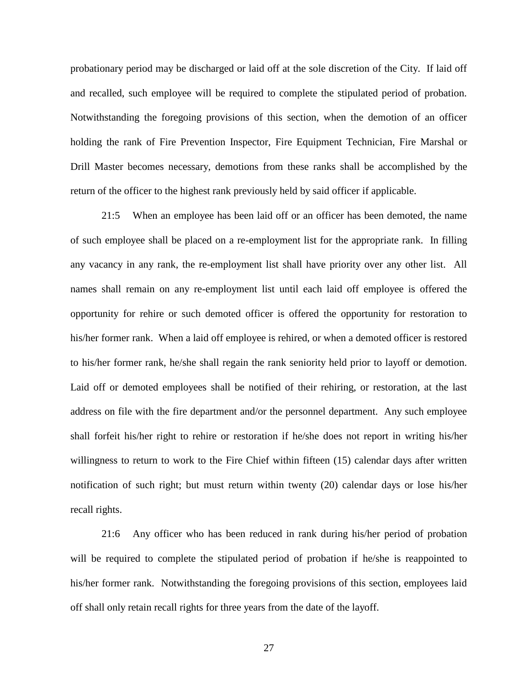probationary period may be discharged or laid off at the sole discretion of the City. If laid off and recalled, such employee will be required to complete the stipulated period of probation. Notwithstanding the foregoing provisions of this section, when the demotion of an officer holding the rank of Fire Prevention Inspector, Fire Equipment Technician, Fire Marshal or Drill Master becomes necessary, demotions from these ranks shall be accomplished by the return of the officer to the highest rank previously held by said officer if applicable.

21:5 When an employee has been laid off or an officer has been demoted, the name of such employee shall be placed on a re-employment list for the appropriate rank. In filling any vacancy in any rank, the re-employment list shall have priority over any other list. All names shall remain on any re-employment list until each laid off employee is offered the opportunity for rehire or such demoted officer is offered the opportunity for restoration to his/her former rank. When a laid off employee is rehired, or when a demoted officer is restored to his/her former rank, he/she shall regain the rank seniority held prior to layoff or demotion. Laid off or demoted employees shall be notified of their rehiring, or restoration, at the last address on file with the fire department and/or the personnel department. Any such employee shall forfeit his/her right to rehire or restoration if he/she does not report in writing his/her willingness to return to work to the Fire Chief within fifteen (15) calendar days after written notification of such right; but must return within twenty (20) calendar days or lose his/her recall rights.

21:6 Any officer who has been reduced in rank during his/her period of probation will be required to complete the stipulated period of probation if he/she is reappointed to his/her former rank. Notwithstanding the foregoing provisions of this section, employees laid off shall only retain recall rights for three years from the date of the layoff.

27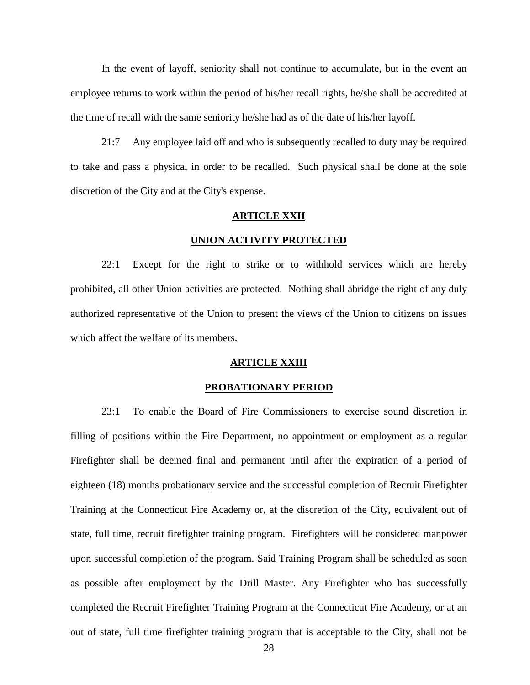In the event of layoff, seniority shall not continue to accumulate, but in the event an employee returns to work within the period of his/her recall rights, he/she shall be accredited at the time of recall with the same seniority he/she had as of the date of his/her layoff.

21:7 Any employee laid off and who is subsequently recalled to duty may be required to take and pass a physical in order to be recalled. Such physical shall be done at the sole discretion of the City and at the City's expense.

# **ARTICLE XXII**

#### **UNION ACTIVITY PROTECTED**

22:1 Except for the right to strike or to withhold services which are hereby prohibited, all other Union activities are protected. Nothing shall abridge the right of any duly authorized representative of the Union to present the views of the Union to citizens on issues which affect the welfare of its members.

# **ARTICLE XXIII**

#### **PROBATIONARY PERIOD**

23:1 To enable the Board of Fire Commissioners to exercise sound discretion in filling of positions within the Fire Department, no appointment or employment as a regular Firefighter shall be deemed final and permanent until after the expiration of a period of eighteen (18) months probationary service and the successful completion of Recruit Firefighter Training at the Connecticut Fire Academy or, at the discretion of the City, equivalent out of state, full time, recruit firefighter training program. Firefighters will be considered manpower upon successful completion of the program. Said Training Program shall be scheduled as soon as possible after employment by the Drill Master. Any Firefighter who has successfully completed the Recruit Firefighter Training Program at the Connecticut Fire Academy, or at an out of state, full time firefighter training program that is acceptable to the City, shall not be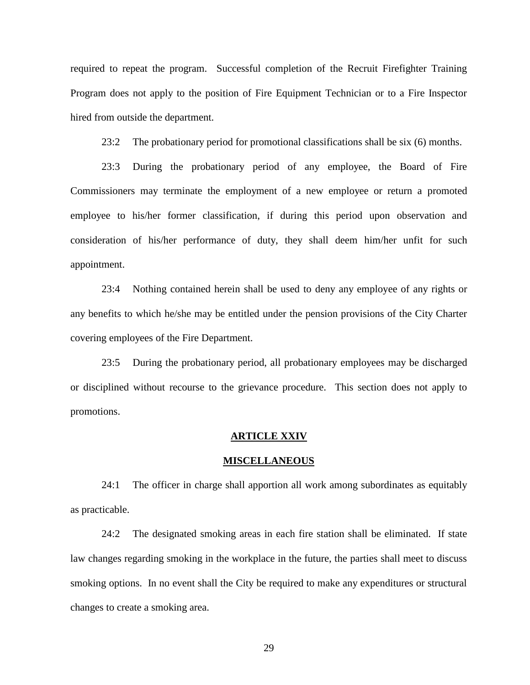required to repeat the program. Successful completion of the Recruit Firefighter Training Program does not apply to the position of Fire Equipment Technician or to a Fire Inspector hired from outside the department.

23:2 The probationary period for promotional classifications shall be six (6) months.

23:3 During the probationary period of any employee, the Board of Fire Commissioners may terminate the employment of a new employee or return a promoted employee to his/her former classification, if during this period upon observation and consideration of his/her performance of duty, they shall deem him/her unfit for such appointment.

23:4 Nothing contained herein shall be used to deny any employee of any rights or any benefits to which he/she may be entitled under the pension provisions of the City Charter covering employees of the Fire Department.

23:5 During the probationary period, all probationary employees may be discharged or disciplined without recourse to the grievance procedure. This section does not apply to promotions.

#### **ARTICLE XXIV**

## **MISCELLANEOUS**

24:1 The officer in charge shall apportion all work among subordinates as equitably as practicable.

24:2 The designated smoking areas in each fire station shall be eliminated. If state law changes regarding smoking in the workplace in the future, the parties shall meet to discuss smoking options. In no event shall the City be required to make any expenditures or structural changes to create a smoking area.

29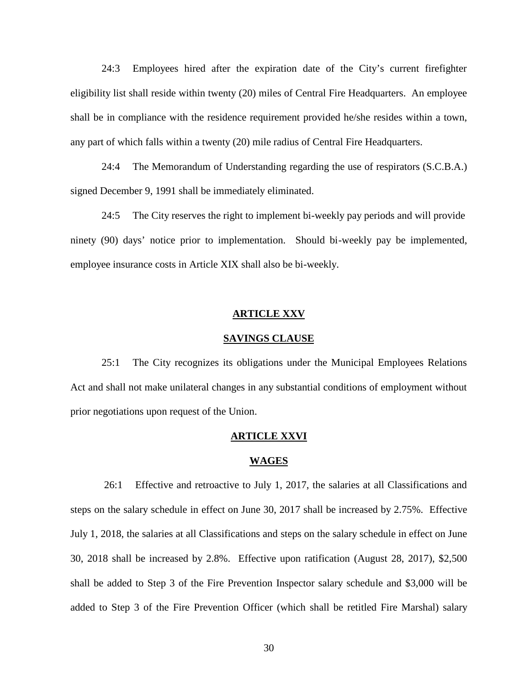24:3 Employees hired after the expiration date of the City's current firefighter eligibility list shall reside within twenty (20) miles of Central Fire Headquarters. An employee shall be in compliance with the residence requirement provided he/she resides within a town, any part of which falls within a twenty (20) mile radius of Central Fire Headquarters.

24:4 The Memorandum of Understanding regarding the use of respirators (S.C.B.A.) signed December 9, 1991 shall be immediately eliminated.

24:5 The City reserves the right to implement bi-weekly pay periods and will provide ninety (90) days' notice prior to implementation. Should bi-weekly pay be implemented, employee insurance costs in Article XIX shall also be bi-weekly.

# **ARTICLE XXV**

### **SAVINGS CLAUSE**

25:1 The City recognizes its obligations under the Municipal Employees Relations Act and shall not make unilateral changes in any substantial conditions of employment without prior negotiations upon request of the Union.

#### **ARTICLE XXVI**

#### **WAGES**

26:1 Effective and retroactive to July 1, 2017, the salaries at all Classifications and steps on the salary schedule in effect on June 30, 2017 shall be increased by 2.75%. Effective July 1, 2018, the salaries at all Classifications and steps on the salary schedule in effect on June 30, 2018 shall be increased by 2.8%. Effective upon ratification (August 28, 2017), \$2,500 shall be added to Step 3 of the Fire Prevention Inspector salary schedule and \$3,000 will be added to Step 3 of the Fire Prevention Officer (which shall be retitled Fire Marshal) salary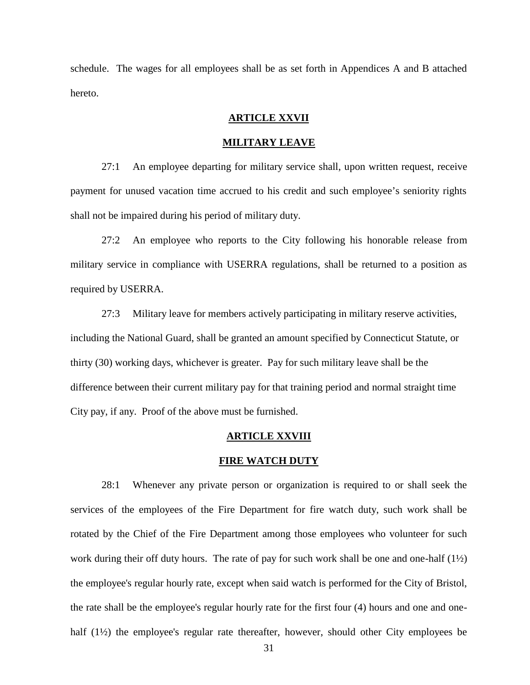schedule. The wages for all employees shall be as set forth in Appendices A and B attached hereto.

### **ARTICLE XXVII**

## **MILITARY LEAVE**

27:1 An employee departing for military service shall, upon written request, receive payment for unused vacation time accrued to his credit and such employee's seniority rights shall not be impaired during his period of military duty.

27:2 An employee who reports to the City following his honorable release from military service in compliance with USERRA regulations, shall be returned to a position as required by USERRA.

27:3 Military leave for members actively participating in military reserve activities, including the National Guard, shall be granted an amount specified by Connecticut Statute, or thirty (30) working days, whichever is greater. Pay for such military leave shall be the difference between their current military pay for that training period and normal straight time City pay, if any. Proof of the above must be furnished.

#### **ARTICLE XXVIII**

## **FIRE WATCH DUTY**

28:1 Whenever any private person or organization is required to or shall seek the services of the employees of the Fire Department for fire watch duty, such work shall be rotated by the Chief of the Fire Department among those employees who volunteer for such work during their off duty hours. The rate of pay for such work shall be one and one-half  $(1\frac{1}{2})$ the employee's regular hourly rate, except when said watch is performed for the City of Bristol, the rate shall be the employee's regular hourly rate for the first four (4) hours and one and one half (1<sup>1</sup>/<sub>2</sub>) the employee's regular rate thereafter, however, should other City employees be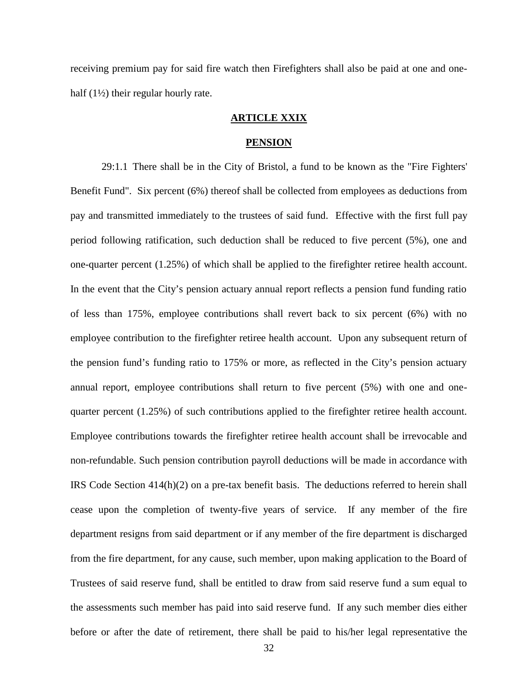receiving premium pay for said fire watch then Firefighters shall also be paid at one and one half  $(1\frac{1}{2})$  their regular hourly rate.

## **ARTICLE XXIX**

#### **PENSION**

29:1.1 There shall be in the City of Bristol, a fund to be known as the "Fire Fighters' Benefit Fund". Six percent (6%) thereof shall be collected from employees as deductions from pay and transmitted immediately to the trustees of said fund. Effective with the first full pay period following ratification, such deduction shall be reduced to five percent (5%), one and one-quarter percent (1.25%) of which shall be applied to the firefighter retiree health account. In the event that the City's pension actuary annual report reflects a pension fund funding ratio of less than 175%, employee contributions shall revert back to six percent (6%) with no employee contribution to the firefighter retiree health account. Upon any subsequent return of the pension fund's funding ratio to 175% or more, as reflected in the City's pension actuary annual report, employee contributions shall return to five percent (5%) with one and one quarter percent (1.25%) of such contributions applied to the firefighter retiree health account. Employee contributions towards the firefighter retiree health account shall be irrevocable and non-refundable. Such pension contribution payroll deductions will be made in accordance with IRS Code Section 414(h)(2) on a pre-tax benefit basis. The deductions referred to herein shall cease upon the completion of twenty-five years of service. If any member of the fire department resigns from said department or if any member of the fire department is discharged from the fire department, for any cause, such member, upon making application to the Board of Trustees of said reserve fund, shall be entitled to draw from said reserve fund a sum equal to the assessments such member has paid into said reserve fund. If any such member dies either before or after the date of retirement, there shall be paid to his/her legal representative the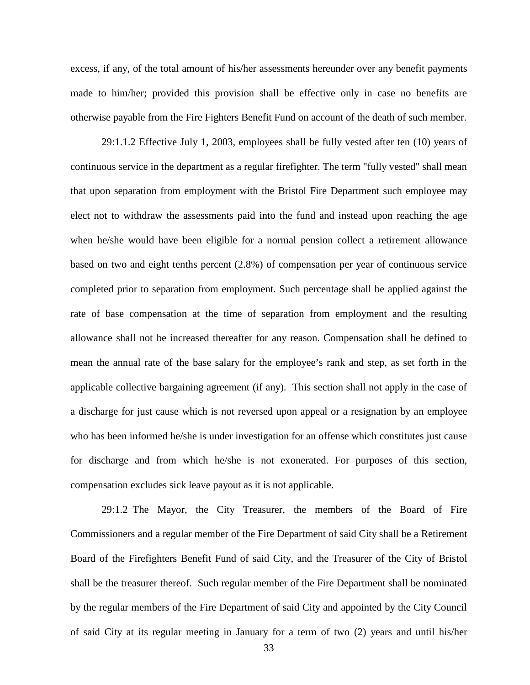excess, if any, of the total amount of his/her assessments hereunder over any benefit payments made to him/her; provided this provision shall be effective only in case no benefits are otherwise payable from the Fire Fighters Benefit Fund on account of the death of such member.

29:1.1.2 Effective July 1, 2003, employees shall be fully vested after ten (10) years of continuous service in the department as a regular firefighter. The term "fully vested" shall mean that upon separation from employment with the Bristol Fire Department such employee may elect not to withdraw the assessments paid into the fund and instead upon reaching the age when he/she would have been eligible for a normal pension collect a retirement allowance based on two and eight tenths percent (2.8%) of compensation per year of continuous service completed prior to separation from employment. Such percentage shall be applied against the rate of base compensation at the time of separation from employment and the resulting allowance shall not be increased thereafter for any reason. Compensation shall be defined to mean the annual rate of the base salary for the employee's rank and step, as set forth in the applicable collective bargaining agreement (if any). This section shall not apply in the case of a discharge for just cause which is not reversed upon appeal or a resignation by an employee who has been informed he/she is under investigation for an offense which constitutes just cause for discharge and from which he/she is not exonerated. For purposes of this section, compensation excludes sick leave payout as it is not applicable.

29:1.2 The Mayor, the City Treasurer, the members of the Board of Fire Commissioners and a regular member of the Fire Department of said City shall be a Retirement Board of the Firefighters Benefit Fund of said City, and the Treasurer of the City of Bristol shall be the treasurer thereof. Such regular member of the Fire Department shall be nominated by the regular members of the Fire Department of said City and appointed by the City Council of said City at its regular meeting in January for a term of two (2) years and until his/her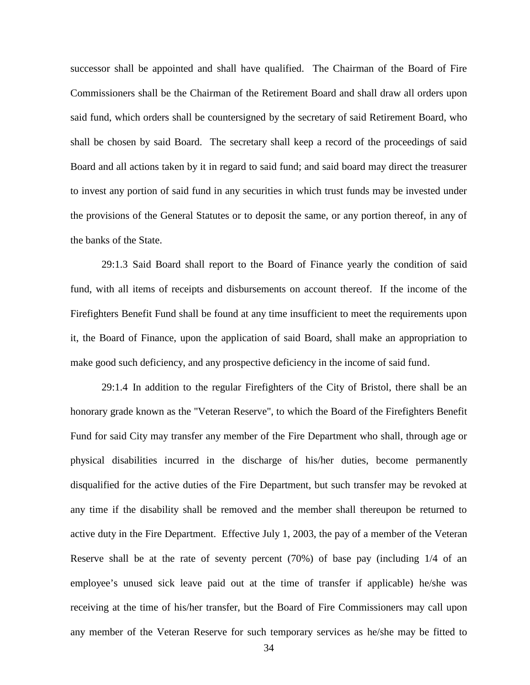successor shall be appointed and shall have qualified. The Chairman of the Board of Fire Commissioners shall be the Chairman of the Retirement Board and shall draw all orders upon said fund, which orders shall be countersigned by the secretary of said Retirement Board, who shall be chosen by said Board. The secretary shall keep a record of the proceedings of said Board and all actions taken by it in regard to said fund; and said board may direct the treasurer to invest any portion of said fund in any securities in which trust funds may be invested under the provisions of the General Statutes or to deposit the same, or any portion thereof, in any of the banks of the State.

29:1.3 Said Board shall report to the Board of Finance yearly the condition of said fund, with all items of receipts and disbursements on account thereof. If the income of the Firefighters Benefit Fund shall be found at any time insufficient to meet the requirements upon it, the Board of Finance, upon the application of said Board, shall make an appropriation to make good such deficiency, and any prospective deficiency in the income of said fund.

29:1.4 In addition to the regular Firefighters of the City of Bristol, there shall be an honorary grade known as the "Veteran Reserve", to which the Board of the Firefighters Benefit Fund for said City may transfer any member of the Fire Department who shall, through age or physical disabilities incurred in the discharge of his/her duties, become permanently disqualified for the active duties of the Fire Department, but such transfer may be revoked at any time if the disability shall be removed and the member shall thereupon be returned to active duty in the Fire Department. Effective July 1, 2003, the pay of a member of the Veteran Reserve shall be at the rate of seventy percent (70%) of base pay (including 1/4 of an employee's unused sick leave paid out at the time of transfer if applicable) he/she was receiving at the time of his/her transfer, but the Board of Fire Commissioners may call upon any member of the Veteran Reserve for such temporary services as he/she may be fitted to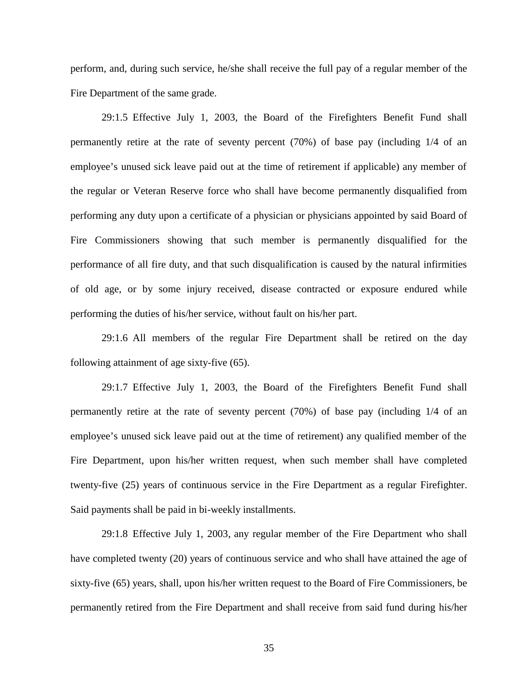perform, and, during such service, he/she shall receive the full pay of a regular member of the Fire Department of the same grade.

29:1.5 Effective July 1, 2003, the Board of the Firefighters Benefit Fund shall permanently retire at the rate of seventy percent (70%) of base pay (including 1/4 of an employee's unused sick leave paid out at the time of retirement if applicable) any member of the regular or Veteran Reserve force who shall have become permanently disqualified from performing any duty upon a certificate of a physician or physicians appointed by said Board of Fire Commissioners showing that such member is permanently disqualified for the performance of all fire duty, and that such disqualification is caused by the natural infirmities of old age, or by some injury received, disease contracted or exposure endured while performing the duties of his/her service, without fault on his/her part.

29:1.6 All members of the regular Fire Department shall be retired on the day following attainment of age sixty-five (65).

29:1.7 Effective July 1, 2003, the Board of the Firefighters Benefit Fund shall permanently retire at the rate of seventy percent (70%) of base pay (including 1/4 of an employee's unused sick leave paid out at the time of retirement) any qualified member of the Fire Department, upon his/her written request, when such member shall have completed twenty-five (25) years of continuous service in the Fire Department as a regular Firefighter. Said payments shall be paid in bi-weekly installments.

29:1.8 Effective July 1, 2003, any regular member of the Fire Department who shall have completed twenty (20) years of continuous service and who shall have attained the age of sixty-five (65) years, shall, upon his/her written request to the Board of Fire Commissioners, be permanently retired from the Fire Department and shall receive from said fund during his/her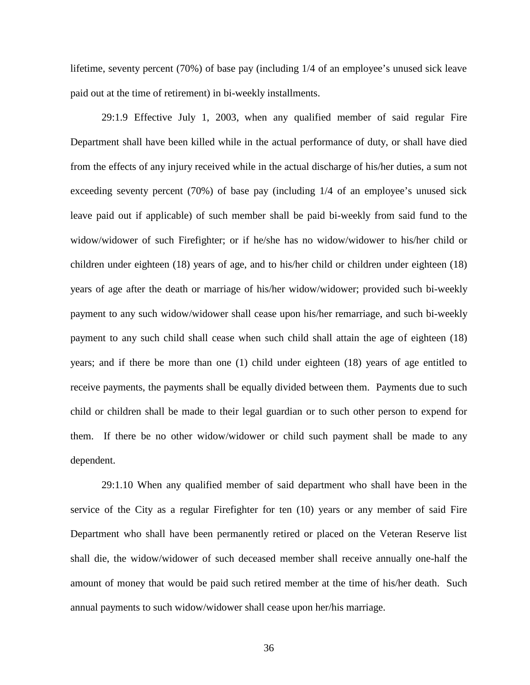lifetime, seventy percent (70%) of base pay (including 1/4 of an employee's unused sick leave paid out at the time of retirement) in bi-weekly installments.

29:1.9 Effective July 1, 2003, when any qualified member of said regular Fire Department shall have been killed while in the actual performance of duty, or shall have died from the effects of any injury received while in the actual discharge of his/her duties, a sum not exceeding seventy percent  $(70%)$  of base pay (including  $1/4$  of an employee's unused sick leave paid out if applicable) of such member shall be paid bi-weekly from said fund to the widow/widower of such Firefighter; or if he/she has no widow/widower to his/her child or children under eighteen (18) years of age, and to his/her child or children under eighteen (18) years of age after the death or marriage of his/her widow/widower; provided such bi-weekly payment to any such widow/widower shall cease upon his/her remarriage, and such bi-weekly payment to any such child shall cease when such child shall attain the age of eighteen (18) years; and if there be more than one (1) child under eighteen (18) years of age entitled to receive payments, the payments shall be equally divided between them. Payments due to such child or children shall be made to their legal guardian or to such other person to expend for them. If there be no other widow/widower or child such payment shall be made to any dependent.

29:1.10 When any qualified member of said department who shall have been in the service of the City as a regular Firefighter for ten (10) years or any member of said Fire Department who shall have been permanently retired or placed on the Veteran Reserve list shall die, the widow/widower of such deceased member shall receive annually one-half the amount of money that would be paid such retired member at the time of his/her death. Such annual payments to such widow/widower shall cease upon her/his marriage.

36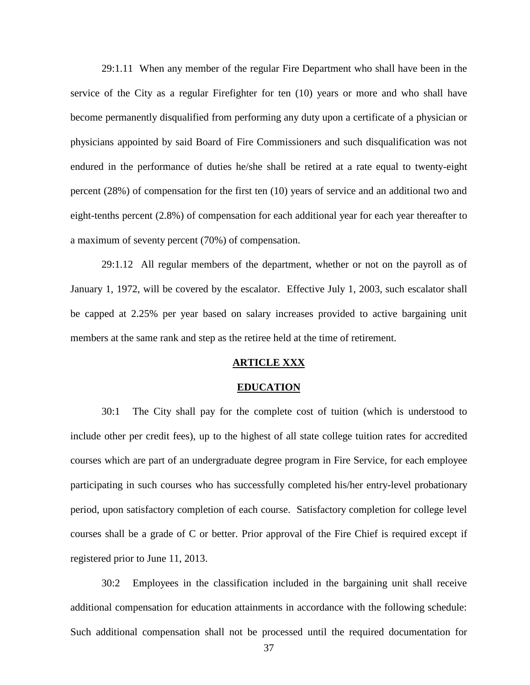29:1.11 When any member of the regular Fire Department who shall have been in the service of the City as a regular Firefighter for ten (10) years or more and who shall have become permanently disqualified from performing any duty upon a certificate of a physician or physicians appointed by said Board of Fire Commissioners and such disqualification was not endured in the performance of duties he/she shall be retired at a rate equal to twenty-eight percent (28%) of compensation for the first ten (10) years of service and an additional two and eight-tenths percent (2.8%) of compensation for each additional year for each year thereafter to a maximum of seventy percent (70%) of compensation.

29:1.12 All regular members of the department, whether or not on the payroll as of January 1, 1972, will be covered by the escalator. Effective July 1, 2003, such escalator shall be capped at 2.25% per year based on salary increases provided to active bargaining unit members at the same rank and step as the retiree held at the time of retirement.

# **ARTICLE XXX**

#### **EDUCATION**

30:1 The City shall pay for the complete cost of tuition (which is understood to include other per credit fees), up to the highest of all state college tuition rates for accredited courses which are part of an undergraduate degree program in Fire Service, for each employee participating in such courses who has successfully completed his/her entry-level probationary period, upon satisfactory completion of each course. Satisfactory completion for college level courses shall be a grade of C or better. Prior approval of the Fire Chief is required except if registered prior to June 11, 2013.

30:2 Employees in the classification included in the bargaining unit shall receive additional compensation for education attainments in accordance with the following schedule: Such additional compensation shall not be processed until the required documentation for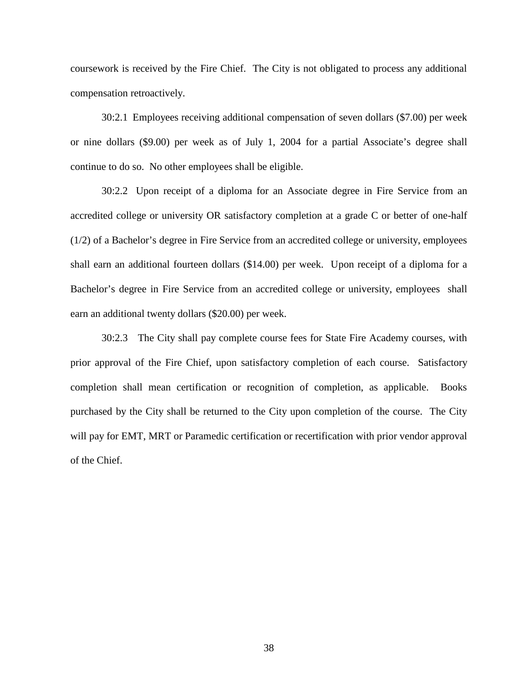coursework is received by the Fire Chief. The City is not obligated to process any additional compensation retroactively.

30:2.1 Employees receiving additional compensation of seven dollars (\$7.00) per week or nine dollars (\$9.00) per week as of July 1, 2004 for a partial Associate's degree shall continue to do so. No other employees shall be eligible.

30:2.2 Upon receipt of a diploma for an Associate degree in Fire Service from an accredited college or university OR satisfactory completion at a grade C or better of one-half (1/2) of a Bachelor's degree in Fire Service from an accredited college or university, employees shall earn an additional fourteen dollars (\$14.00) per week. Upon receipt of a diploma for a Bachelor's degree in Fire Service from an accredited college or university, employees shall earn an additional twenty dollars (\$20.00) per week.

30:2.3 The City shall pay complete course fees for State Fire Academy courses, with prior approval of the Fire Chief, upon satisfactory completion of each course. Satisfactory completion shall mean certification or recognition of completion, as applicable. Books purchased by the City shall be returned to the City upon completion of the course. The City will pay for EMT, MRT or Paramedic certification or recertification with prior vendor approval of the Chief.

38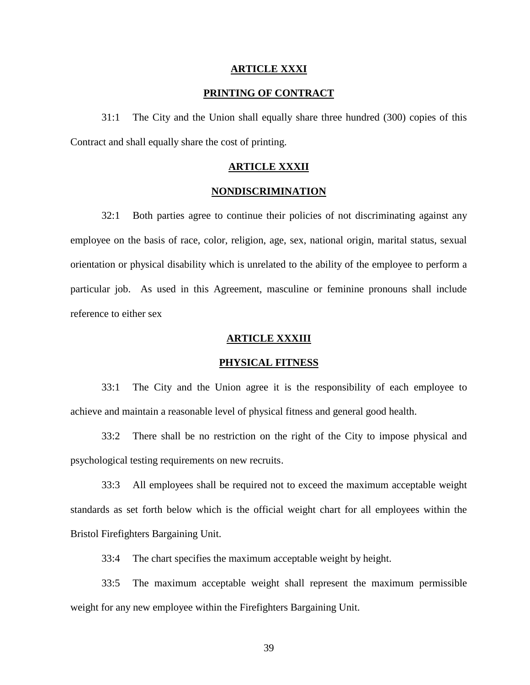#### **ARTICLE XXXI**

#### **PRINTING OF CONTRACT**

31:1 The City and the Union shall equally share three hundred (300) copies of this Contract and shall equally share the cost of printing.

# **ARTICLE XXXII**

# **NONDISCRIMINATION**

32:1 Both parties agree to continue their policies of not discriminating against any employee on the basis of race, color, religion, age, sex, national origin, marital status, sexual orientation or physical disability which is unrelated to the ability of the employee to perform a particular job. As used in this Agreement, masculine or feminine pronouns shall include reference to either sex

# **ARTICLE XXXIII**

# **PHYSICAL FITNESS**

33:1 The City and the Union agree it is the responsibility of each employee to achieve and maintain a reasonable level of physical fitness and general good health.

33:2 There shall be no restriction on the right of the City to impose physical and psychological testing requirements on new recruits.

33:3 All employees shall be required not to exceed the maximum acceptable weight standards as set forth below which is the official weight chart for all employees within the Bristol Firefighters Bargaining Unit.

33:4 The chart specifies the maximum acceptable weight by height.

33:5 The maximum acceptable weight shall represent the maximum permissible weight for any new employee within the Firefighters Bargaining Unit.

39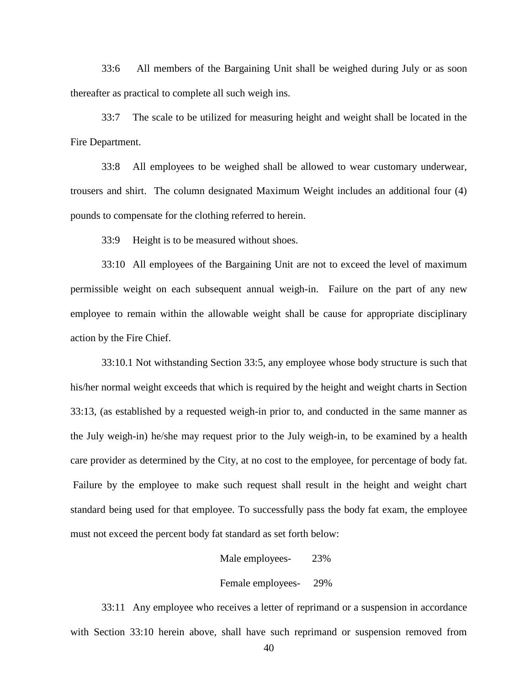33:6 All members of the Bargaining Unit shall be weighed during July or as soon thereafter as practical to complete all such weigh ins.

33:7 The scale to be utilized for measuring height and weight shall be located in the Fire Department.

33:8 All employees to be weighed shall be allowed to wear customary underwear, trousers and shirt. The column designated Maximum Weight includes an additional four (4) pounds to compensate for the clothing referred to herein.

33:9 Height is to be measured without shoes.

33:10 All employees of the Bargaining Unit are not to exceed the level of maximum permissible weight on each subsequent annual weigh-in. Failure on the part of any new employee to remain within the allowable weight shall be cause for appropriate disciplinary action by the Fire Chief.

33:10.1 Not withstanding Section 33:5, any employee whose body structure is such that his/her normal weight exceeds that which is required by the height and weight charts in Section 33:13, (as established by a requested weigh-in prior to, and conducted in the same manner as the July weigh-in) he/she may request prior to the July weigh-in, to be examined by a health care provider as determined by the City, at no cost to the employee, for percentage of body fat. Failure by the employee to make such request shall result in the height and weight chart standard being used for that employee. To successfully pass the body fat exam, the employee must not exceed the percent body fat standard as set forth below:

> Male employees- 23% Female employees- 29%

33:11 Any employee who receives a letter of reprimand or a suspension in accordance with Section 33:10 herein above, shall have such reprimand or suspension removed from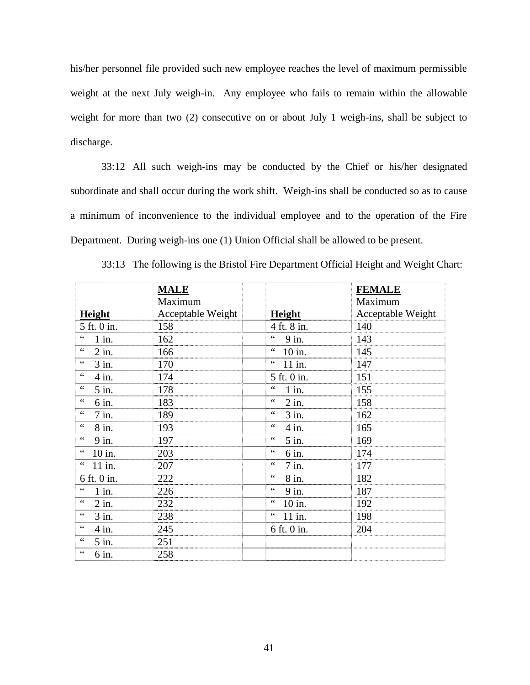his/her personnel file provided such new employee reaches the level of maximum permissible weight at the next July weigh-in. Any employee who fails to remain within the allowable weight for more than two (2) consecutive on or about July 1 weigh-ins, shall be subject to discharge.

33:12 All such weigh-ins may be conducted by the Chief or his/her designated subordinate and shall occur during the work shift. Weigh-ins shall be conducted so as to cause a minimum of inconvenience to the individual employee and to the operation of the Fire Department. During weigh-ins one (1) Union Official shall be allowed to be present.

|                                          | <b>MALE</b>       |                            | <b>FEMALE</b>     |
|------------------------------------------|-------------------|----------------------------|-------------------|
|                                          | Maximum           |                            | Maximum           |
| Height                                   | Acceptable Weight | <b>Height</b>              | Acceptable Weight |
| 5 ft. 0 in.                              | 158               | 4 ft. 8 in.                | 140               |
| $\mbox{\bf 6}$ $\mbox{\bf 6}$<br>$1$ in. | 162               | $\zeta$ $\zeta$<br>9 in.   | 143               |
| 66<br>$2$ in.                            | 166               | $\zeta$ $\zeta$<br>10 in.  | 145               |
| $\zeta$ $\zeta$<br>$3$ in.               | 170               | $\zeta$ $\zeta$<br>11 in.  | 147               |
| $\zeta$ $\zeta$<br>$4$ in.               | 174               | 5 ft. 0 in.                | 151               |
| $\mbox{4}$ $\mbox{4}$<br>5 in.           | 178               | $\zeta$ $\zeta$<br>$1$ in. | 155               |
| $\zeta$ $\zeta$<br>6 in.                 | 183               | 66<br>$2$ in.              | 158               |
| $\,6\,6\,$<br>$7$ in.                    | 189               | $\zeta$ $\zeta$<br>$3$ in. | 162               |
| $\zeta$ $\zeta$<br>8 in.                 | 193               | $\zeta$ $\zeta$<br>4 in.   | 165               |
| 9 in.                                    | 197               | $\zeta$ $\zeta$<br>5 in.   | 169               |
| $\zeta$ $\zeta$<br>10 in.                | 203               | $\zeta$ $\zeta$<br>6 in.   | 174               |
| $\zeta$ $\zeta$<br>11 in.                | 207               | $\zeta$ $\zeta$<br>7 in.   | 177               |
| 6 ft. 0 in.                              | 222               | $\zeta$ $\zeta$<br>8 in.   | 182               |
| $\zeta$ $\zeta$<br>$1$ in.               | 226               | $\zeta$ $\zeta$<br>9 in.   | 187               |
| $\zeta$ $\zeta$<br>$2$ in.               | 232               | $\zeta$ $\zeta$<br>10 in.  | 192               |
| $\zeta$ $\zeta$<br>3 in.                 | 238               | $\zeta$ $\zeta$<br>11 in.  | 198               |
| 66<br>$4$ in.                            | 245               | 6 ft. 0 in.                | 204               |
| $5$ in.                                  | 251               |                            |                   |
| $\zeta$ $\zeta$<br>6 in.                 | 258               |                            |                   |

33:13 The following is the Bristol Fire Department Official Height and Weight Chart: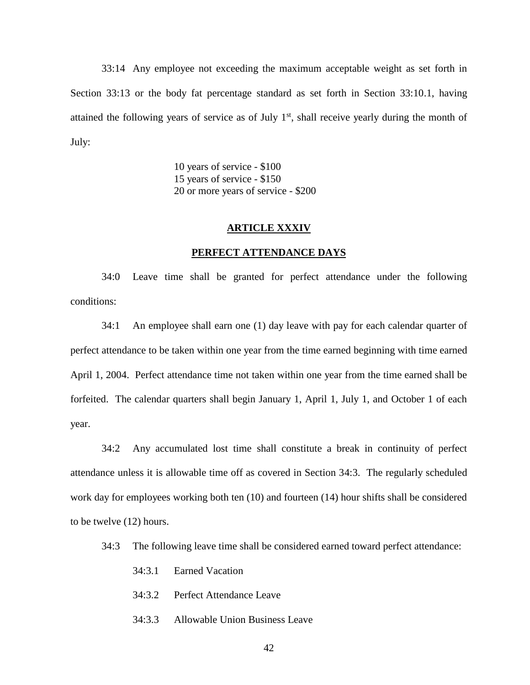33:14 Any employee not exceeding the maximum acceptable weight as set forth in Section 33:13 or the body fat percentage standard as set forth in Section 33:10.1, having attained the following years of service as of July  $1<sup>st</sup>$ , shall receive yearly during the month of July:

> 10 years of service - \$100 15 years of service - \$150 20 or more years of service - \$200

# **ARTICLE XXXIV**

### **PERFECT ATTENDANCE DAYS**

34:0 Leave time shall be granted for perfect attendance under the following conditions:

34:1 An employee shall earn one (1) day leave with pay for each calendar quarter of perfect attendance to be taken within one year from the time earned beginning with time earned April 1, 2004. Perfect attendance time not taken within one year from the time earned shall be forfeited. The calendar quarters shall begin January 1, April 1, July 1, and October 1 of each year.

34:2 Any accumulated lost time shall constitute a break in continuity of perfect attendance unless it is allowable time off as covered in Section 34:3. The regularly scheduled work day for employees working both ten (10) and fourteen (14) hour shifts shall be considered to be twelve (12) hours.

- 34:3 The following leave time shall be considered earned toward perfect attendance:
	- 34:3.1 Earned Vacation
	- 34:3.2 Perfect Attendance Leave
	- 34:3.3 Allowable Union Business Leave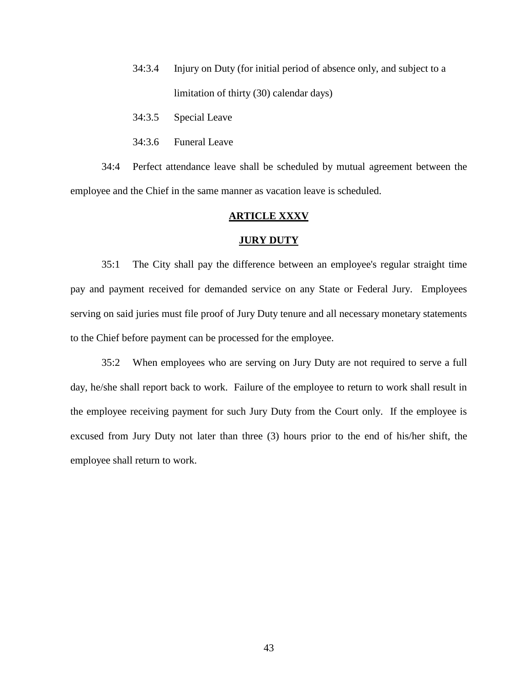- 34:3.4 Injury on Duty (for initial period of absence only, and subject to a limitation of thirty (30) calendar days)
- 34:3.5 Special Leave
- 34:3.6 Funeral Leave

34:4 Perfect attendance leave shall be scheduled by mutual agreement between the employee and the Chief in the same manner as vacation leave is scheduled.

# **ARTICLE XXXV**

#### **JURY DUTY**

35:1 The City shall pay the difference between an employee's regular straight time pay and payment received for demanded service on any State or Federal Jury. Employees serving on said juries must file proof of Jury Duty tenure and all necessary monetary statements to the Chief before payment can be processed for the employee.

35:2 When employees who are serving on Jury Duty are not required to serve a full day, he/she shall report back to work. Failure of the employee to return to work shall result in the employee receiving payment for such Jury Duty from the Court only. If the employee is excused from Jury Duty not later than three (3) hours prior to the end of his/her shift, the employee shall return to work.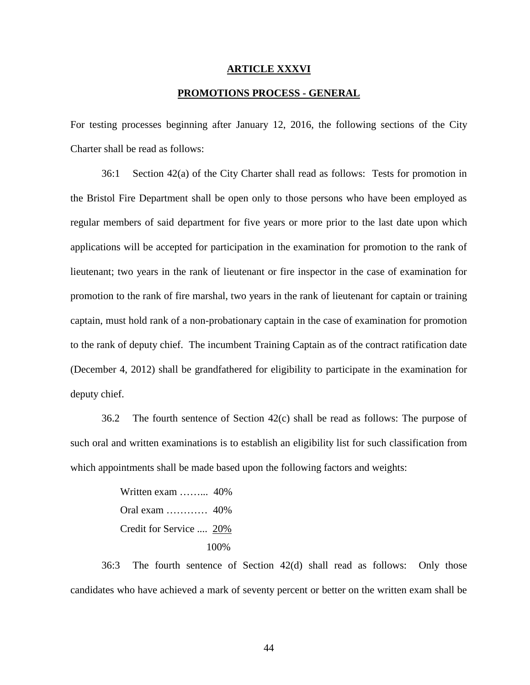#### **ARTICLE XXXVI**

#### **PROMOTIONS PROCESS - GENERAL**

For testing processes beginning after January 12, 2016, the following sections of the City Charter shall be read as follows:

36:1 Section 42(a) of the City Charter shall read as follows: Tests for promotion in the Bristol Fire Department shall be open only to those persons who have been employed as regular members of said department for five years or more prior to the last date upon which applications will be accepted for participation in the examination for promotion to the rank of lieutenant; two years in the rank of lieutenant or fire inspector in the case of examination for promotion to the rank of fire marshal, two years in the rank of lieutenant for captain or training captain, must hold rank of a non-probationary captain in the case of examination for promotion to the rank of deputy chief. The incumbent Training Captain as of the contract ratification date (December 4, 2012) shall be grandfathered for eligibility to participate in the examination for deputy chief.

36.2 The fourth sentence of Section 42(c) shall be read as follows: The purpose of such oral and written examinations is to establish an eligibility list for such classification from which appointments shall be made based upon the following factors and weights:

> Written exam ……... 40% Oral exam ………… 40% Credit for Service .... 20% 100%

36:3 The fourth sentence of Section 42(d) shall read as follows: Only those candidates who have achieved a mark of seventy percent or better on the written exam shall be

44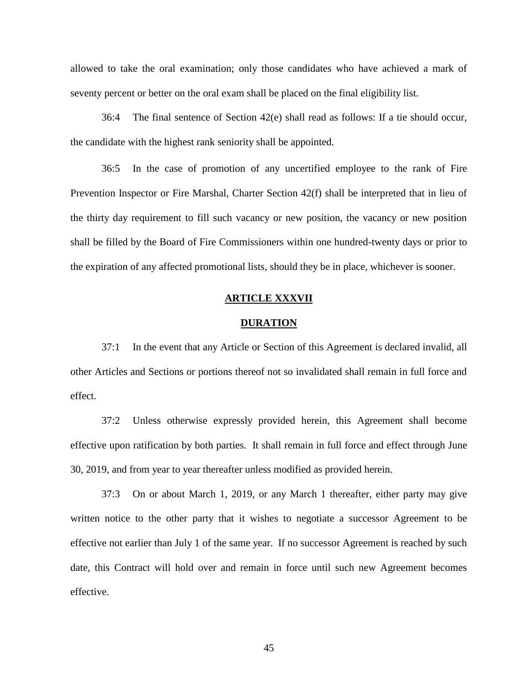allowed to take the oral examination; only those candidates who have achieved a mark of seventy percent or better on the oral exam shall be placed on the final eligibility list.

36:4 The final sentence of Section 42(e) shall read as follows: If a tie should occur, the candidate with the highest rank seniority shall be appointed.

36:5 In the case of promotion of any uncertified employee to the rank of Fire Prevention Inspector or Fire Marshal, Charter Section 42(f) shall be interpreted that in lieu of the thirty day requirement to fill such vacancy or new position, the vacancy or new position shall be filled by the Board of Fire Commissioners within one hundred-twenty days or prior to the expiration of any affected promotional lists, should they be in place, whichever is sooner.

### **ARTICLE XXXVII**

# **DURATION**

37:1 In the event that any Article or Section of this Agreement is declared invalid, all other Articles and Sections or portions thereof not so invalidated shall remain in full force and effect.

37:2 Unless otherwise expressly provided herein, this Agreement shall become effective upon ratification by both parties. It shall remain in full force and effect through June 30, 2019, and from year to year thereafter unless modified as provided herein.

37:3 On or about March 1, 2019, or any March 1 thereafter, either party may give written notice to the other party that it wishes to negotiate a successor Agreement to be effective not earlier than July 1 of the same year. If no successor Agreement is reached by such date, this Contract will hold over and remain in force until such new Agreement becomes effective.

45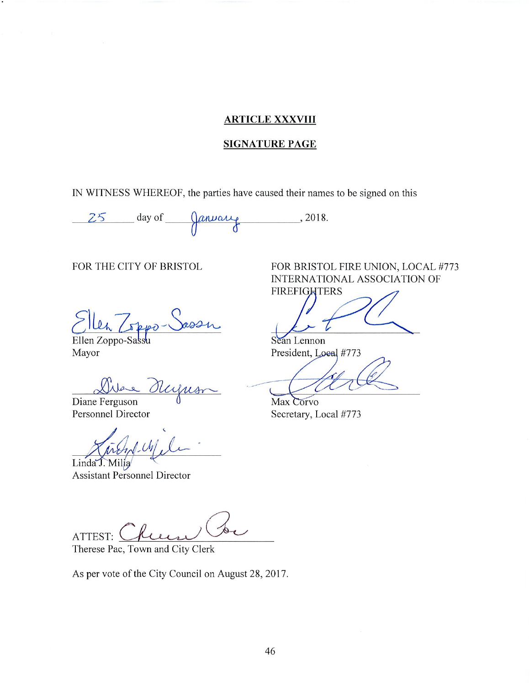# **ARTICLE XXXVIII**

# **SIGNATURE PAGE**

IN WITNESS WHEREOF, the parties have caused their names to be signed on this

 $25$  day of  $\frac{\alpha n \nu \alpha \nu \beta}{\beta}$ , 2018.

FOR THE CITY OF BRISTOL

12100 Ellen Zoppo-Sassu

Mayor

duques

Diane Ferguson Personnel Director

 $A\mathcal{N}$ 

Linda J. Milia **Assistant Personnel Director** 

ATTEST:

Therese Pac, Town and City Clerk

As per vote of the City Council on August 28, 2017.

FOR BRISTOL FIRE UNION, LOCAL #773 INTERNATIONAL ASSOCIATION OF **FIREFIGHTERS** 

Sean Lennon President, Loeal #773

Max Corvo Secretary, Local #773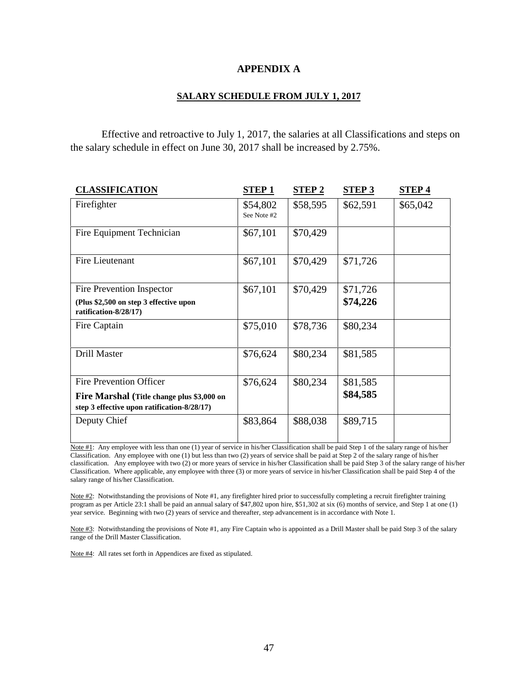# **APPENDIX A**

# **SALARY SCHEDULE FROM JULY 1, 2017**

Effective and retroactive to July 1, 2017, the salaries at all Classifications and steps on the salary schedule in effect on June 30, 2017 shall be increased by 2.75%.

| <b>CLASSIFICATION</b>                                                                     | <b>STEP1</b>            | <b>STEP 2</b> | <b>STEP 3</b> | <b>STEP4</b> |
|-------------------------------------------------------------------------------------------|-------------------------|---------------|---------------|--------------|
| Firefighter                                                                               | \$54,802<br>See Note #2 | \$58,595      | \$62,591      | \$65,042     |
| Fire Equipment Technician                                                                 | \$67,101                | \$70,429      |               |              |
| Fire Lieutenant                                                                           | \$67,101                | \$70,429      | \$71,726      |              |
| Fire Prevention Inspector                                                                 | \$67,101                | \$70,429      | \$71,726      |              |
| (Plus \$2,500 on step 3 effective upon<br>ratification-8/28/17)                           |                         |               | \$74,226      |              |
| Fire Captain                                                                              | \$75,010                | \$78,736      | \$80,234      |              |
| Drill Master                                                                              | \$76,624                | \$80,234      | \$81,585      |              |
| <b>Fire Prevention Officer</b>                                                            | \$76,624                | \$80,234      | \$81,585      |              |
| Fire Marshal (Title change plus \$3,000 on<br>step 3 effective upon ratification-8/28/17) |                         |               | \$84,585      |              |
| Deputy Chief                                                                              | \$83,864                | \$88,038      | \$89,715      |              |

Note #1: Any employee with less than one (1) year of service in his/her Classification shall be paid Step 1 of the salary range of his/her Classification. Any employee with one (1) but less than two (2) years of service shall be paid at Step 2 of the salary range of his/her classification. Any employee with two (2) or more years of service in his/her Classification shall be paid Step 3 of the salary range of his/her Classification. Where applicable, any employee with three (3) or more years of service in his/her Classification shall be paid Step 4 of the salary range of his/her Classification.

Note #2: Notwithstanding the provisions of Note #1, any firefighter hired prior to successfully completing a recruit firefighter training program as per Article 23:1 shall be paid an annual salary of \$47,802 upon hire, \$51,302 at six (6) months of service, and Step 1 at one (1) year service. Beginning with two (2) years of service and thereafter, step advancement is in accordance with Note 1.

Note #3: Notwithstanding the provisions of Note #1, any Fire Captain who is appointed as a Drill Master shall be paid Step 3 of the salary range of the Drill Master Classification.

Note #4: All rates set forth in Appendices are fixed as stipulated.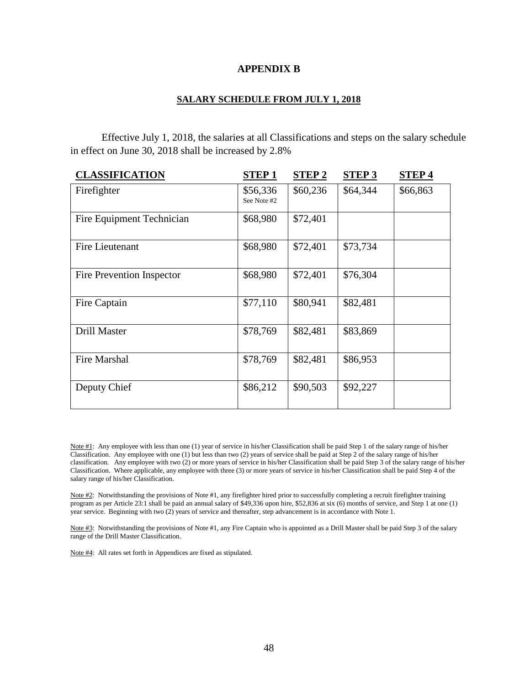# **APPENDIX B**

# **SALARY SCHEDULE FROM JULY 1, 2018**

Effective July 1, 2018, the salaries at all Classifications and steps on the salary schedule in effect on June 30, 2018 shall be increased by 2.8%

| <b>CLASSIFICATION</b>     | <b>STEP1</b>            | <b>STEP 2</b> | <b>STEP 3</b> | <b>STEP4</b> |
|---------------------------|-------------------------|---------------|---------------|--------------|
| Firefighter               | \$56,336<br>See Note #2 | \$60,236      | \$64,344      | \$66,863     |
| Fire Equipment Technician | \$68,980                | \$72,401      |               |              |
| Fire Lieutenant           | \$68,980                | \$72,401      | \$73,734      |              |
| Fire Prevention Inspector | \$68,980                | \$72,401      | \$76,304      |              |
| Fire Captain              | \$77,110                | \$80,941      | \$82,481      |              |
| Drill Master              | \$78,769                | \$82,481      | \$83,869      |              |
| Fire Marshal              | \$78,769                | \$82,481      | \$86,953      |              |
| Deputy Chief              | \$86,212                | \$90,503      | \$92,227      |              |
|                           |                         |               |               |              |

Note #1: Any employee with less than one (1) year of service in his/her Classification shall be paid Step 1 of the salary range of his/her Classification. Any employee with one (1) but less than two (2) years of service shall be paid at Step 2 of the salary range of his/her classification. Any employee with two (2) or more years of service in his/her Classification shall be paid Step 3 of the salary range of his/her Classification. Where applicable, any employee with three (3) or more years of service in his/her Classification shall be paid Step 4 of the salary range of his/her Classification.

Note #2: Notwithstanding the provisions of Note #1, any firefighter hired prior to successfully completing a recruit firefighter training program as per Article 23:1 shall be paid an annual salary of \$49,336 upon hire, \$52,836 at six (6) months of service, and Step 1 at one (1) year service. Beginning with two (2) years of service and thereafter, step advancement is in accordance with Note 1.

Note #3: Notwithstanding the provisions of Note #1, any Fire Captain who is appointed as a Drill Master shall be paid Step 3 of the salary range of the Drill Master Classification.

Note #4: All rates set forth in Appendices are fixed as stipulated.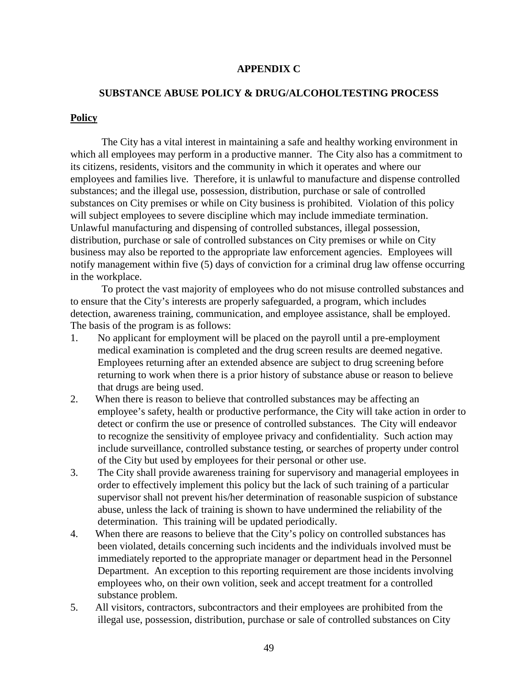# **APPENDIX C**

# **SUBSTANCE ABUSE POLICY & DRUG/ALCOHOLTESTING PROCESS**

# **Policy**

The City has a vital interest in maintaining a safe and healthy working environment in which all employees may perform in a productive manner. The City also has a commitment to its citizens, residents, visitors and the community in which it operates and where our employees and families live. Therefore, it is unlawful to manufacture and dispense controlled substances; and the illegal use, possession, distribution, purchase or sale of controlled substances on City premises or while on City business is prohibited. Violation of this policy will subject employees to severe discipline which may include immediate termination. Unlawful manufacturing and dispensing of controlled substances, illegal possession, distribution, purchase or sale of controlled substances on City premises or while on City business may also be reported to the appropriate law enforcement agencies. Employees will notify management within five (5) days of conviction for a criminal drug law offense occurring in the workplace.

To protect the vast majority of employees who do not misuse controlled substances and to ensure that the City's interests are properly safeguarded, a program, which includes detection, awareness training, communication, and employee assistance, shall be employed. The basis of the program is as follows:

- 1. No applicant for employment will be placed on the payroll until a pre-employment medical examination is completed and the drug screen results are deemed negative. Employees returning after an extended absence are subject to drug screening before returning to work when there is a prior history of substance abuse or reason to believe that drugs are being used.
- 2. When there is reason to believe that controlled substances may be affecting an employee's safety, health or productive performance, the City will take action in order to detect or confirm the use or presence of controlled substances. The City will endeavor to recognize the sensitivity of employee privacy and confidentiality. Such action may include surveillance, controlled substance testing, or searches of property under control of the City but used by employees for their personal or other use.
- 3. The City shall provide awareness training for supervisory and managerial employees in order to effectively implement this policy but the lack of such training of a particular supervisor shall not prevent his/her determination of reasonable suspicion of substance abuse, unless the lack of training is shown to have undermined the reliability of the determination. This training will be updated periodically.
- 4. When there are reasons to believe that the City's policy on controlled substances has been violated, details concerning such incidents and the individuals involved must be immediately reported to the appropriate manager or department head in the Personnel Department. An exception to this reporting requirement are those incidents involving employees who, on their own volition, seek and accept treatment for a controlled substance problem.
- 5. All visitors, contractors, subcontractors and their employees are prohibited from the illegal use, possession, distribution, purchase or sale of controlled substances on City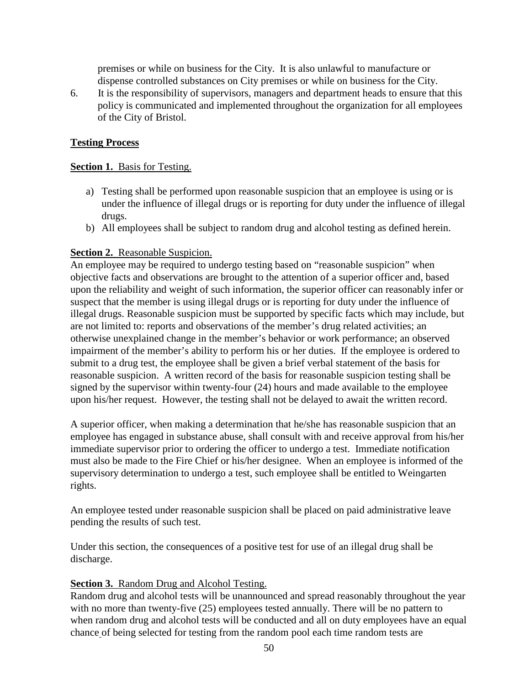premises or while on business for the City. It is also unlawful to manufacture or dispense controlled substances on City premises or while on business for the City.

6. It is the responsibility of supervisors, managers and department heads to ensure that this policy is communicated and implemented throughout the organization for all employees of the City of Bristol.

# **Testing Process**

# **Section 1.** Basis for Testing.

- a) Testing shall be performed upon reasonable suspicion that an employee is using or is under the influence of illegal drugs or is reporting for duty under the influence of illegal drugs.
- b) All employees shall be subject to random drug and alcohol testing as defined herein.

# **Section 2.** Reasonable Suspicion.

An employee may be required to undergo testing based on "reasonable suspicion" when objective facts and observations are brought to the attention of a superior officer and, based upon the reliability and weight of such information, the superior officer can reasonably infer or suspect that the member is using illegal drugs or is reporting for duty under the influence of illegal drugs. Reasonable suspicion must be supported by specific facts which may include, but are not limited to: reports and observations of the member's drug related activities; an otherwise unexplained change in the member's behavior or work performance; an observed impairment of the member's ability to perform his or her duties. If the employee is ordered to submit to a drug test, the employee shall be given a brief verbal statement of the basis for reasonable suspicion. A written record of the basis for reasonable suspicion testing shall be signed by the supervisor within twenty-four (24) hours and made available to the employee upon his/her request. However, the testing shall not be delayed to await the written record.

A superior officer, when making a determination that he/she has reasonable suspicion that an employee has engaged in substance abuse, shall consult with and receive approval from his/her immediate supervisor prior to ordering the officer to undergo a test. Immediate notification must also be made to the Fire Chief or his/her designee. When an employee is informed of the supervisory determination to undergo a test, such employee shall be entitled to Weingarten rights.

An employee tested under reasonable suspicion shall be placed on paid administrative leave pending the results of such test.

Under this section, the consequences of a positive test for use of an illegal drug shall be discharge.

# **Section 3.** Random Drug and Alcohol Testing.

Random drug and alcohol tests will be unannounced and spread reasonably throughout the year with no more than twenty-five (25) employees tested annually. There will be no pattern to when random drug and alcohol tests will be conducted and all on duty employees have an equal chance of being selected for testing from the random pool each time random tests are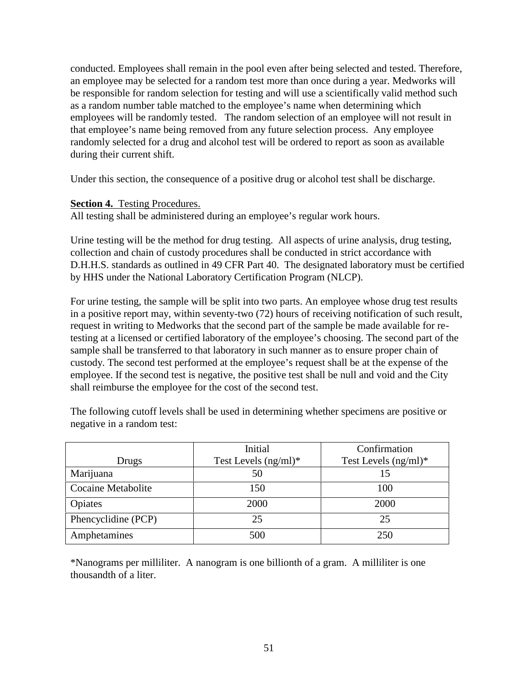conducted. Employees shall remain in the pool even after being selected and tested. Therefore, an employee may be selected for a random test more than once during a year. Medworks will be responsible for random selection for testing and will use a scientifically valid method such as a random number table matched to the employee's name when determining which employees will be randomly tested. The random selection of an employee will not result in that employee's name being removed from any future selection process. Any employee randomly selected for a drug and alcohol test will be ordered to report as soon as available during their current shift.

Under this section, the consequence of a positive drug or alcohol test shall be discharge.

# **Section 4.** Testing Procedures.

All testing shall be administered during an employee's regular work hours.

Urine testing will be the method for drug testing. All aspects of urine analysis, drug testing, collection and chain of custody procedures shall be conducted in strict accordance with D.H.H.S. standards as outlined in 49 CFR Part 40. The designated laboratory must be certified by HHS under the National Laboratory Certification Program (NLCP).

For urine testing, the sample will be split into two parts. An employee whose drug test results in a positive report may, within seventy-two (72) hours of receiving notification of such result, request in writing to Medworks that the second part of the sample be made available for retesting at a licensed or certified laboratory of the employee's choosing. The second part of the sample shall be transferred to that laboratory in such manner as to ensure proper chain of custody. The second test performed at the employee's request shall be at the expense of the employee. If the second test is negative, the positive test shall be null and void and the City shall reimburse the employee for the cost of the second test.

The following cutoff levels shall be used in determining whether specimens are positive or negative in a random test:

|                           | Initial                 | Confirmation            |
|---------------------------|-------------------------|-------------------------|
| Drugs                     | Test Levels $(ng/ml)^*$ | Test Levels $(ng/ml)^*$ |
| Marijuana                 | 50                      |                         |
| <b>Cocaine Metabolite</b> | 150                     | 100                     |
| Opiates                   | 2000                    | 2000                    |
| Phencyclidine (PCP)       | 25                      | 25                      |
| Amphetamines              | 500                     | 250                     |

\*Nanograms per milliliter. A nanogram is one billionth of a gram. A milliliter is one thousandth of a liter.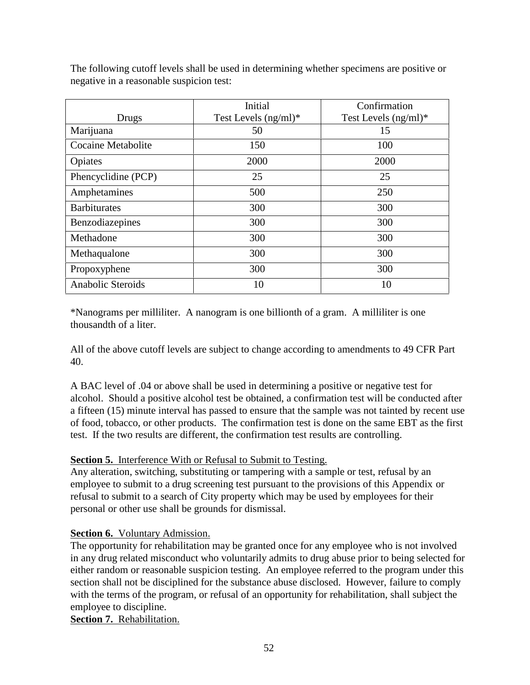|                           | Initial                 | Confirmation            |
|---------------------------|-------------------------|-------------------------|
| Drugs                     | Test Levels $(ng/ml)^*$ | Test Levels $(ng/ml)^*$ |
| Marijuana                 | 50                      | 15                      |
| <b>Cocaine Metabolite</b> | 150                     | 100                     |
| Opiates                   | 2000                    | 2000                    |
| Phencyclidine (PCP)       | 25                      | 25                      |
| Amphetamines              | 500                     | 250                     |
| <b>Barbiturates</b>       | 300                     | 300                     |
| Benzodiazepines           | 300                     | 300                     |
| Methadone                 | 300                     | 300                     |
| Methaqualone              | 300                     | 300                     |
| Propoxyphene              | 300                     | 300                     |
| Anabolic Steroids         | 10                      | 10                      |

The following cutoff levels shall be used in determining whether specimens are positive or negative in a reasonable suspicion test:

\*Nanograms per milliliter. A nanogram is one billionth of a gram. A milliliter is one thousandth of a liter.

All of the above cutoff levels are subject to change according to amendments to 49 CFR Part 40.

A BAC level of .04 or above shall be used in determining a positive or negative test for alcohol. Should a positive alcohol test be obtained, a confirmation test will be conducted after a fifteen (15) minute interval has passed to ensure that the sample was not tainted by recent use of food, tobacco, or other products. The confirmation test is done on the same EBT as the first test. If the two results are different, the confirmation test results are controlling.

# **Section 5.** Interference With or Refusal to Submit to Testing.

Any alteration, switching, substituting or tampering with a sample or test, refusal by an employee to submit to a drug screening test pursuant to the provisions of this Appendix or refusal to submit to a search of City property which may be used by employees for their personal or other use shall be grounds for dismissal.

# **Section 6.** Voluntary Admission.

The opportunity for rehabilitation may be granted once for any employee who is not involved in any drug related misconduct who voluntarily admits to drug abuse prior to being selected for either random or reasonable suspicion testing. An employee referred to the program under this section shall not be disciplined for the substance abuse disclosed. However, failure to comply with the terms of the program, or refusal of an opportunity for rehabilitation, shall subject the employee to discipline.

**Section 7.** Rehabilitation.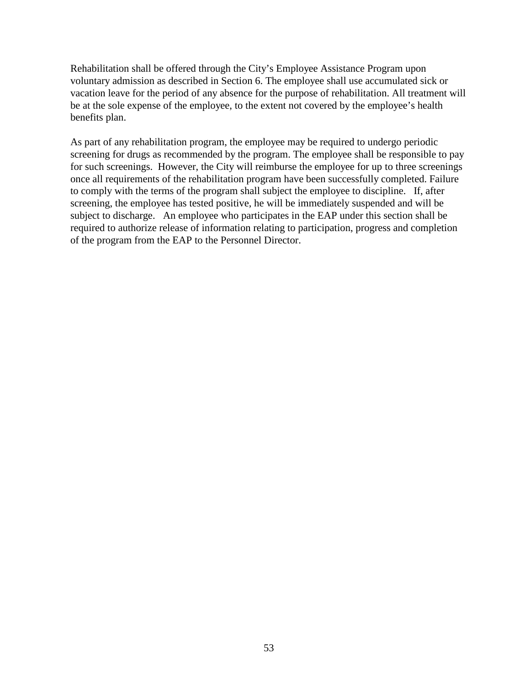Rehabilitation shall be offered through the City's Employee Assistance Program upon voluntary admission as described in Section 6. The employee shall use accumulated sick or vacation leave for the period of any absence for the purpose of rehabilitation. All treatment will be at the sole expense of the employee, to the extent not covered by the employee's health benefits plan.

As part of any rehabilitation program, the employee may be required to undergo periodic screening for drugs as recommended by the program. The employee shall be responsible to pay for such screenings. However, the City will reimburse the employee for up to three screenings once all requirements of the rehabilitation program have been successfully completed. Failure to comply with the terms of the program shall subject the employee to discipline. If, after screening, the employee has tested positive, he will be immediately suspended and will be subject to discharge. An employee who participates in the EAP under this section shall be required to authorize release of information relating to participation, progress and completion of the program from the EAP to the Personnel Director.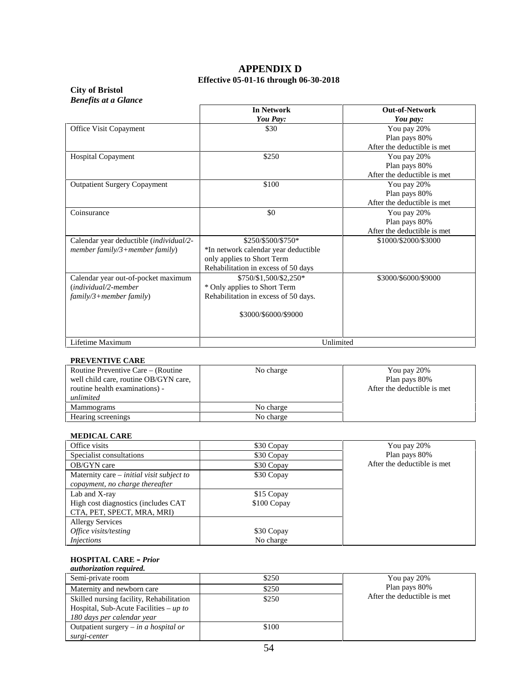# **APPENDIX D Effective 05-01-16 through 06-30-2018**

#### **City of Bristol** *Benefits at a Glance*

|                                         | <b>In Network</b><br>You Pay:        | <b>Out-of-Network</b><br>You pay: |
|-----------------------------------------|--------------------------------------|-----------------------------------|
| Office Visit Copayment                  | \$30                                 | You pay 20%<br>Plan pays 80%      |
|                                         |                                      | After the deductible is met       |
| <b>Hospital Copayment</b>               | \$250                                | You pay 20%                       |
|                                         |                                      | Plan pays 80%                     |
|                                         |                                      | After the deductible is met       |
| <b>Outpatient Surgery Copayment</b>     | \$100                                | You pay 20%                       |
|                                         |                                      | Plan pays 80%                     |
|                                         |                                      | After the deductible is met       |
| Coinsurance                             | \$0                                  | You pay 20%                       |
|                                         |                                      | Plan pays 80%                     |
|                                         |                                      | After the deductible is met       |
| Calendar year deductible (individual/2- | \$250/\$500/\$750*                   | \$1000/\$2000/\$3000              |
| member family/3+member family)          | *In network calendar year deductible |                                   |
|                                         | only applies to Short Term           |                                   |
|                                         | Rehabilitation in excess of 50 days  |                                   |
| Calendar year out-of-pocket maximum     | \$750/\$1,500/\$2,250*               | \$3000/\$6000/\$9000              |
| (individual/2-member                    | * Only applies to Short Term         |                                   |
| $family/3 + member family)$             | Rehabilitation in excess of 50 days. |                                   |
|                                         | \$3000/\$6000/\$9000                 |                                   |
| Lifetime Maximum                        | Unlimited                            |                                   |

### **PREVENTIVE CARE**

| Routine Preventive Care – (Routine<br>well child care, routine OB/GYN care,<br>routine health examinations) - | No charge              | You pay 20%<br>Plan pays 80%<br>After the deductible is met. |
|---------------------------------------------------------------------------------------------------------------|------------------------|--------------------------------------------------------------|
| unlimited                                                                                                     |                        |                                                              |
|                                                                                                               |                        |                                                              |
| <b>Mammograms</b><br>Hearing screenings                                                                       | No charge<br>No charge |                                                              |

# **MEDICAL CARE**

| Office visits                               | \$30 Copay  | You pay 20%                  |
|---------------------------------------------|-------------|------------------------------|
| Specialist consultations                    | \$30 Copay  | Plan pays 80%                |
| OB/GYN care                                 | \$30 Copay  | After the deductible is met. |
| Maternity care $-$ initial visit subject to | \$30 Copay  |                              |
| copayment, no charge thereafter             |             |                              |
| Lab and X-ray                               | \$15 Copay  |                              |
| High cost diagnostics (includes CAT         | \$100 Copay |                              |
| CTA, PET, SPECT, MRA, MRI)                  |             |                              |
| <b>Allergy Services</b>                     |             |                              |
| Office visits/testing                       | \$30 Copay  |                              |
| <i>Injections</i>                           | No charge   |                              |

### **HOSPITAL CARE –** *Prior*

| <i>authorization required.</i>           |       |                              |
|------------------------------------------|-------|------------------------------|
| Semi-private room                        | \$250 | You pay 20%                  |
| Maternity and newborn care               | \$250 | Plan pays 80%                |
| Skilled nursing facility, Rehabilitation | \$250 | After the deductible is met. |
| Hospital, Sub-Acute Facilities – up to   |       |                              |
| 180 days per calendar year               |       |                              |
| Outpatient surgery – in a hospital or    | \$100 |                              |
| surgi-center                             |       |                              |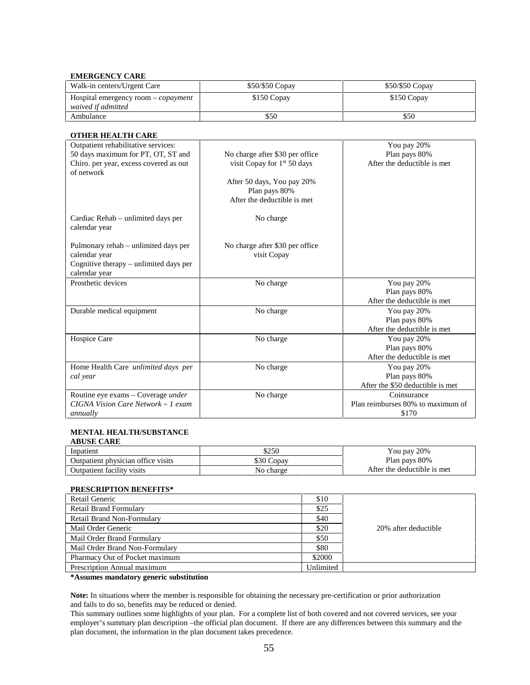#### **EMERGENCY CARE**

| Walk-in centers/Urgent Care                               | \$50/\$50 Copay | $$50/$50$ Copay |
|-----------------------------------------------------------|-----------------|-----------------|
| Hospital emergency room – copayment<br>waived if admitted | \$150 Copay     | \$150 Copay     |
| Ambulance                                                 | \$50            | \$50            |

#### **OTHER HEALTH CARE**

|           | You pay 20%                                                                                                                                                                                                |
|-----------|------------------------------------------------------------------------------------------------------------------------------------------------------------------------------------------------------------|
|           | Plan pays 80%                                                                                                                                                                                              |
|           | After the deductible is met                                                                                                                                                                                |
|           |                                                                                                                                                                                                            |
|           |                                                                                                                                                                                                            |
|           |                                                                                                                                                                                                            |
|           |                                                                                                                                                                                                            |
| No charge |                                                                                                                                                                                                            |
|           |                                                                                                                                                                                                            |
|           |                                                                                                                                                                                                            |
|           |                                                                                                                                                                                                            |
|           |                                                                                                                                                                                                            |
| No charge | You pay 20%                                                                                                                                                                                                |
|           | Plan pays 80%                                                                                                                                                                                              |
|           | After the deductible is met                                                                                                                                                                                |
| No charge | You pay 20%                                                                                                                                                                                                |
|           | Plan pays 80%                                                                                                                                                                                              |
|           | After the deductible is met                                                                                                                                                                                |
| No charge | You pay 20%                                                                                                                                                                                                |
|           | Plan pays 80%                                                                                                                                                                                              |
|           | After the deductible is met                                                                                                                                                                                |
| No charge | You pay 20%                                                                                                                                                                                                |
|           | Plan pays 80%                                                                                                                                                                                              |
|           | After the \$50 deductible is met                                                                                                                                                                           |
| No charge | Coinsurance                                                                                                                                                                                                |
|           | Plan reimburses 80% to maximum of                                                                                                                                                                          |
|           | \$170                                                                                                                                                                                                      |
|           | No charge after \$30 per office<br>visit Copay for 1 <sup>st</sup> 50 days<br>After 50 days, You pay 20%<br>Plan pays 80%<br>After the deductible is met<br>No charge after \$30 per office<br>visit Copay |

### **MENTAL HEALTH/SUBSTANCE**

| <b>ABUSE CARE</b>                  |            |                              |
|------------------------------------|------------|------------------------------|
| Inpatient                          | \$250      | You pay 20%                  |
| Outpatient physician office visits | \$30 Copay | Plan pays 80%                |
| Outpatient facility visits         | No charge  | After the deductible is met. |

#### **PRESCRIPTION BENEFITS\***

| Retail Generic                    | \$10      |                      |
|-----------------------------------|-----------|----------------------|
| <b>Retail Brand Formulary</b>     | \$25      |                      |
| <b>Retail Brand Non-Formulary</b> | \$40      |                      |
| Mail Order Generic                | \$20      | 20% after deductible |
| Mail Order Brand Formulary        | \$50      |                      |
| Mail Order Brand Non-Formulary    | \$80      |                      |
| Pharmacy Out of Pocket maximum    | \$2000    |                      |
| Prescription Annual maximum       | Unlimited |                      |

#### **\*Assumes mandatory generic substitution**

**Note:** In situations where the member is responsible for obtaining the necessary pre-certification or prior authorization and fails to do so, benefits may be reduced or denied.

This summary outlines some highlights of your plan. For a complete list of both covered and not covered services, see your employer's summary plan description –the official plan document. If there are any differences between this summary and the plan document, the information in the plan document takes precedence.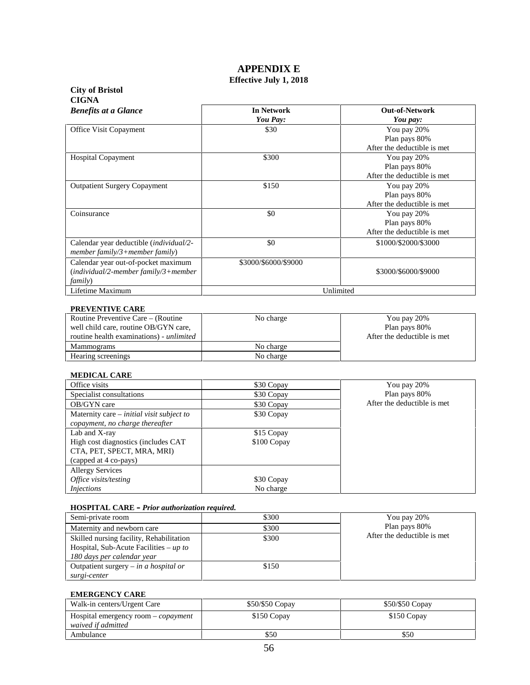# **APPENDIX E Effective July 1, 2018**

| <b>City of Bristol</b><br><b>CIGNA</b>                                                                                  |                               |                                                             |
|-------------------------------------------------------------------------------------------------------------------------|-------------------------------|-------------------------------------------------------------|
| <b>Benefits at a Glance</b>                                                                                             | <b>In Network</b><br>You Pay: | <b>Out-of-Network</b><br>You pay:                           |
| Office Visit Copayment                                                                                                  | \$30                          | You pay 20%<br>Plan pays 80%<br>After the deductible is met |
| Hospital Copayment                                                                                                      | \$300                         | You pay 20%<br>Plan pays 80%<br>After the deductible is met |
| <b>Outpatient Surgery Copayment</b>                                                                                     | \$150                         | You pay 20%<br>Plan pays 80%<br>After the deductible is met |
| Coinsurance                                                                                                             | \$0                           | You pay 20%<br>Plan pays 80%<br>After the deductible is met |
| Calendar year deductible (individual/2-<br>member family/3+member family)                                               | \$0                           | \$1000/\$2000/\$3000                                        |
| Calendar year out-of-pocket maximum<br>(individual/2-member family/3+member<br>family)                                  | \$3000/\$6000/\$9000          | \$3000/\$6000/\$9000                                        |
| Lifetime Maximum                                                                                                        | Unlimited                     |                                                             |
| <b>PREVENTIVE CARE</b>                                                                                                  |                               |                                                             |
| Routine Preventive Care – (Routine<br>well child care, routine OB/GYN care,<br>routine health examinations) - unlimited | No charge                     | You pay 20%<br>Plan pays 80%<br>After the deductible is met |
| Mammograms                                                                                                              | No charge                     |                                                             |
| Hearing screenings                                                                                                      | No charge                     |                                                             |
| <b>MEDICAL CARE</b>                                                                                                     |                               |                                                             |
| Office visits                                                                                                           | \$30 Copay                    | You pay 20%                                                 |
| Specialist consultations                                                                                                | \$30 Copay                    | Plan pays 80%                                               |
| OB/GYN care                                                                                                             | \$30 Copay                    | After the deductible is met                                 |
| Maternity care - initial visit subject to<br>copayment, no charge thereafter                                            | \$30 Copay                    |                                                             |
| Lab and X-ray<br>High cost diagnostics (includes CAT<br>CTA, PET, SPECT, MRA, MRI)                                      | \$15 Copay<br>\$100 Copay     |                                                             |
| (capped at 4 co-pays)<br><b>Allergy Services</b>                                                                        | \$30 Copay                    |                                                             |
| Office visits/testing<br><i>Injections</i>                                                                              | No charge                     |                                                             |
|                                                                                                                         |                               |                                                             |
| <b>HOSPITAL CARE – Prior authorization required.</b>                                                                    |                               |                                                             |
| Semi-private room                                                                                                       | \$300                         | You pay 20%                                                 |
| Maternity and newborn care                                                                                              | \$300                         | Plan pays 80%<br>After the deductible is met                |
| Skilled nursing facility, Rehabilitation<br>Hospital, Sub-Acute Facilities – up to<br>180 days per calendar year        | \$300                         |                                                             |
| Outpatient surgery $-$ in a hospital or<br>surgi-center                                                                 | \$150                         |                                                             |

#### **EMERGENCY CARE**

| Walk-in centers/Urgent Care                                      | \$50/\$50 Copay | \$50/\$50 Copay |
|------------------------------------------------------------------|-----------------|-----------------|
| Hospital emergency room – <i>copayment</i><br>waived if admitted | \$150 Copay     | \$150 Copay     |
| Ambulance                                                        | \$50            | \$50            |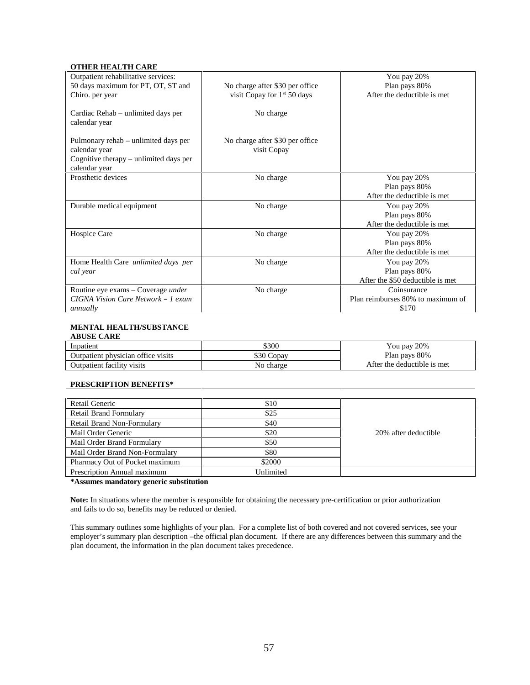# **OTHER HEALTH CARE**

| Outpatient rehabilitative services:        |                                 | You pay 20%                       |
|--------------------------------------------|---------------------------------|-----------------------------------|
| 50 days maximum for PT, OT, ST and         | No charge after \$30 per office | Plan pays 80%                     |
| Chiro. per year                            | visit Copay for $1st 50$ days   | After the deductible is met       |
|                                            |                                 |                                   |
| Cardiac Rehab – unlimited days per         | No charge                       |                                   |
| calendar year                              |                                 |                                   |
|                                            |                                 |                                   |
| Pulmonary rehab – unlimited days per       | No charge after \$30 per office |                                   |
| calendar year                              | visit Copay                     |                                   |
| Cognitive therapy – unlimited days per     |                                 |                                   |
| calendar year<br>Prosthetic devices        |                                 |                                   |
|                                            | No charge                       | You pay 20%                       |
|                                            |                                 | Plan pays 80%                     |
|                                            |                                 | After the deductible is met       |
| Durable medical equipment                  | No charge                       | You pay 20%                       |
|                                            |                                 | Plan pays 80%                     |
|                                            |                                 | After the deductible is met       |
| Hospice Care                               | No charge                       | You pay 20%                       |
|                                            |                                 | Plan pays 80%                     |
|                                            |                                 | After the deductible is met       |
| Home Health Care <i>unlimited days</i> per | No charge                       | You pay 20%                       |
| cal year                                   |                                 | Plan pays 80%                     |
|                                            |                                 | After the \$50 deductible is met  |
| Routine eye exams – Coverage <i>under</i>  | No charge                       | Coinsurance                       |
| CIGNA Vision Care Network - 1 exam         |                                 | Plan reimburses 80% to maximum of |
| annually                                   |                                 | \$170                             |

#### **MENTAL HEALTH/SUBSTANCE ABUSE CARE**

| Inpatient                          | \$300             | You pay 20%                  |
|------------------------------------|-------------------|------------------------------|
| Outpatient physician office visits | \$30 C<br>. Copav | Plan pays 80%                |
| <b>Outpatient facility visits</b>  | No charge         | After the deductible is met. |

#### **PRESCRIPTION BENEFITS\***

| Retail Generic                 | \$10      |                      |
|--------------------------------|-----------|----------------------|
| <b>Retail Brand Formulary</b>  | \$25      |                      |
| Retail Brand Non-Formulary     | \$40      |                      |
| Mail Order Generic             | \$20      | 20% after deductible |
| Mail Order Brand Formulary     | \$50      |                      |
| Mail Order Brand Non-Formulary | \$80      |                      |
| Pharmacy Out of Pocket maximum | \$2000    |                      |
| Prescription Annual maximum    | Unlimited |                      |

**\*Assumes mandatory generic substitution**

**Note:** In situations where the member is responsible for obtaining the necessary pre-certification or prior authorization and fails to do so, benefits may be reduced or denied.

This summary outlines some highlights of your plan. For a complete list of both covered and not covered services, see your employer's summary plan description –the official plan document. If there are any differences between this summary and the plan document, the information in the plan document takes precedence.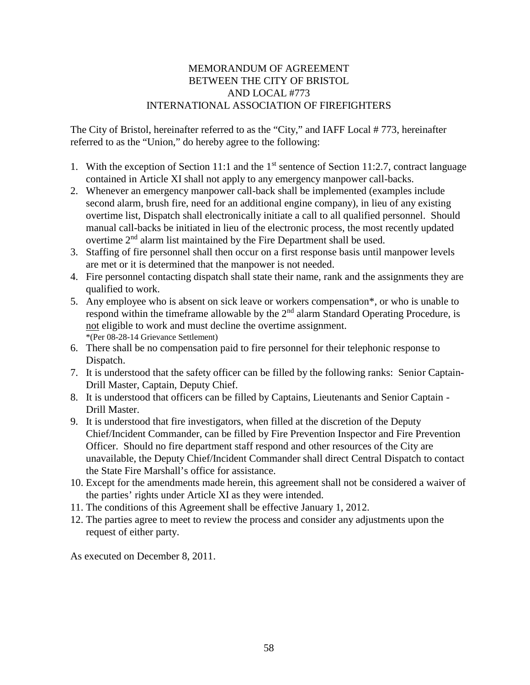# MEMORANDUM OF AGREEMENT BETWEEN THE CITY OF BRISTOL AND LOCAL #773 INTERNATIONAL ASSOCIATION OF FIREFIGHTERS

The City of Bristol, hereinafter referred to as the "City," and IAFF Local # 773, hereinafter referred to as the "Union," do hereby agree to the following:

- 1. With the exception of Section 11:1 and the  $1<sup>st</sup>$  sentence of Section 11:2.7, contract language contained in Article XI shall not apply to any emergency manpower call-backs.
- 2. Whenever an emergency manpower call-back shall be implemented (examples include second alarm, brush fire, need for an additional engine company), in lieu of any existing overtime list, Dispatch shall electronically initiate a call to all qualified personnel. Should manual call-backs be initiated in lieu of the electronic process, the most recently updated overtime 2nd alarm list maintained by the Fire Department shall be used.
- 3. Staffing of fire personnel shall then occur on a first response basis until manpower levels are met or it is determined that the manpower is not needed.
- 4. Fire personnel contacting dispatch shall state their name, rank and the assignments they are qualified to work.
- 5. Any employee who is absent on sick leave or workers compensation\*, or who is unable to respond within the timeframe allowable by the  $2<sup>nd</sup>$  alarm Standard Operating Procedure, is not eligible to work and must decline the overtime assignment. \*(Per 08-28-14 Grievance Settlement)
- 6. There shall be no compensation paid to fire personnel for their telephonic response to Dispatch.
- 7. It is understood that the safety officer can be filled by the following ranks: Senior Captain- Drill Master, Captain, Deputy Chief.
- 8. It is understood that officers can be filled by Captains, Lieutenants and Senior Captain Drill Master.
- 9. It is understood that fire investigators, when filled at the discretion of the Deputy Chief/Incident Commander, can be filled by Fire Prevention Inspector and Fire Prevention Officer. Should no fire department staff respond and other resources of the City are unavailable, the Deputy Chief/Incident Commander shall direct Central Dispatch to contact the State Fire Marshall's office for assistance.
- 10. Except for the amendments made herein, this agreement shall not be considered a waiver of the parties' rights under Article XI as they were intended.
- 11. The conditions of this Agreement shall be effective January 1, 2012.
- 12. The parties agree to meet to review the process and consider any adjustments upon the request of either party.

As executed on December 8, 2011.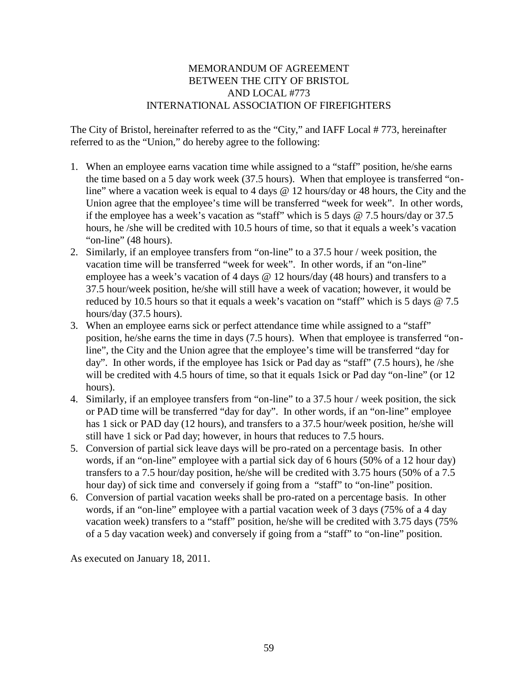# MEMORANDUM OF AGREEMENT BETWEEN THE CITY OF BRISTOL AND LOCAL #773 INTERNATIONAL ASSOCIATION OF FIREFIGHTERS

The City of Bristol, hereinafter referred to as the "City," and IAFF Local # 773, hereinafter referred to as the "Union," do hereby agree to the following:

- 1. When an employee earns vacation time while assigned to a "staff" position, he/she earns the time based on a 5 day work week (37.5 hours). When that employee is transferred "online" where a vacation week is equal to 4 days @ 12 hours/day or 48 hours, the City and the Union agree that the employee's time will be transferred "week for week". In other words, if the employee has a week's vacation as "staff" which is 5 days @ 7.5 hours/day or 37.5 hours, he /she will be credited with 10.5 hours of time, so that it equals a week's vacation "on-line" (48 hours).
- 2. Similarly, if an employee transfers from "on-line" to a 37.5 hour / week position, the vacation time will be transferred "week for week". In other words, if an "on-line" employee has a week's vacation of 4 days @ 12 hours/day (48 hours) and transfers to a 37.5 hour/week position, he/she will still have a week of vacation; however, it would be reduced by 10.5 hours so that it equals a week's vacation on "staff" which is 5 days @ 7.5 hours/day (37.5 hours).
- 3. When an employee earns sick or perfect attendance time while assigned to a "staff" position, he/she earns the time in days (7.5 hours). When that employee is transferred "online", the City and the Union agree that the employee's time will be transferred "day for day". In other words, if the employee has 1sick or Pad day as "staff" (7.5 hours), he /she will be credited with 4.5 hours of time, so that it equals 1 sick or Pad day "on-line" (or 12 hours).
- 4. Similarly, if an employee transfers from "on-line" to a 37.5 hour / week position, the sick or PAD time will be transferred "day for day". In other words, if an "on-line" employee has 1 sick or PAD day (12 hours), and transfers to a 37.5 hour/week position, he/she will still have 1 sick or Pad day; however, in hours that reduces to 7.5 hours.
- 5. Conversion of partial sick leave days will be pro-rated on a percentage basis. In other words, if an "on-line" employee with a partial sick day of 6 hours (50% of a 12 hour day) transfers to a 7.5 hour/day position, he/she will be credited with 3.75 hours (50% of a 7.5 hour day) of sick time and conversely if going from a "staff" to "on-line" position.
- 6. Conversion of partial vacation weeks shall be pro-rated on a percentage basis. In other words, if an "on-line" employee with a partial vacation week of 3 days (75% of a 4 day vacation week) transfers to a "staff" position, he/she will be credited with 3.75 days (75% of a 5 day vacation week) and conversely if going from a "staff" to "on-line" position.

As executed on January 18, 2011.